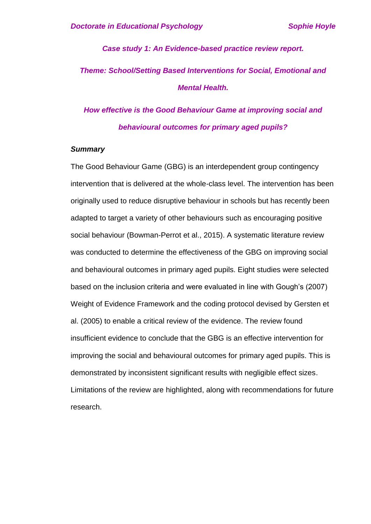*Case study 1: An Evidence-based practice review report. Theme: School/Setting Based Interventions for Social, Emotional and Mental Health.*

*How effective is the Good Behaviour Game at improving social and behavioural outcomes for primary aged pupils?*

### *Summary*

The Good Behaviour Game (GBG) is an interdependent group contingency intervention that is delivered at the whole-class level. The intervention has been originally used to reduce disruptive behaviour in schools but has recently been adapted to target a variety of other behaviours such as encouraging positive social behaviour (Bowman-Perrot et al., 2015). A systematic literature review was conducted to determine the effectiveness of the GBG on improving social and behavioural outcomes in primary aged pupils. Eight studies were selected based on the inclusion criteria and were evaluated in line with Gough's (2007) Weight of Evidence Framework and the coding protocol devised by Gersten et al. (2005) to enable a critical review of the evidence. The review found insufficient evidence to conclude that the GBG is an effective intervention for improving the social and behavioural outcomes for primary aged pupils. This is demonstrated by inconsistent significant results with negligible effect sizes. Limitations of the review are highlighted, along with recommendations for future research.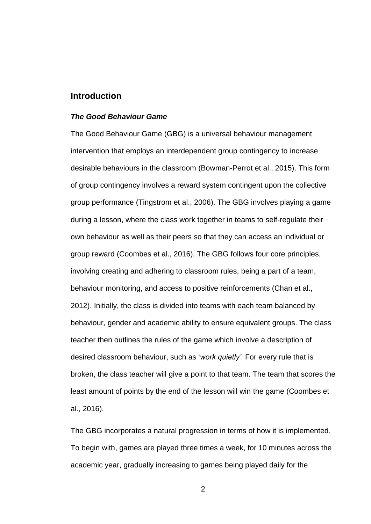## **Introduction**

### *The Good Behaviour Game*

The Good Behaviour Game (GBG) is a universal behaviour management intervention that employs an interdependent group contingency to increase desirable behaviours in the classroom (Bowman-Perrot et al., 2015). This form of group contingency involves a reward system contingent upon the collective group performance (Tingstrom et al., 2006). The GBG involves playing a game during a lesson, where the class work together in teams to self-regulate their own behaviour as well as their peers so that they can access an individual or group reward (Coombes et al., 2016). The GBG follows four core principles, involving creating and adhering to classroom rules, being a part of a team, behaviour monitoring, and access to positive reinforcements (Chan et al., 2012). Initially, the class is divided into teams with each team balanced by behaviour, gender and academic ability to ensure equivalent groups. The class teacher then outlines the rules of the game which involve a description of desired classroom behaviour, such as '*work quietly'*. For every rule that is broken, the class teacher will give a point to that team. The team that scores the least amount of points by the end of the lesson will win the game (Coombes et al., 2016).

The GBG incorporates a natural progression in terms of how it is implemented. To begin with, games are played three times a week, for 10 minutes across the academic year, gradually increasing to games being played daily for the

 $\mathfrak{p}$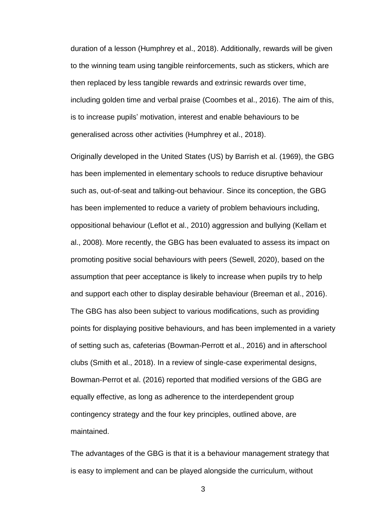duration of a lesson (Humphrey et al., 2018). Additionally, rewards will be given to the winning team using tangible reinforcements, such as stickers, which are then replaced by less tangible rewards and extrinsic rewards over time, including golden time and verbal praise (Coombes et al., 2016). The aim of this, is to increase pupils' motivation, interest and enable behaviours to be generalised across other activities (Humphrey et al., 2018).

Originally developed in the United States (US) by Barrish et al. (1969), the GBG has been implemented in elementary schools to reduce disruptive behaviour such as, out-of-seat and talking-out behaviour. Since its conception, the GBG has been implemented to reduce a variety of problem behaviours including, oppositional behaviour (Leflot et al., 2010) aggression and bullying (Kellam et al., 2008). More recently, the GBG has been evaluated to assess its impact on promoting positive social behaviours with peers (Sewell, 2020), based on the assumption that peer acceptance is likely to increase when pupils try to help and support each other to display desirable behaviour (Breeman et al., 2016). The GBG has also been subject to various modifications, such as providing points for displaying positive behaviours, and has been implemented in a variety of setting such as, cafeterias (Bowman-Perrott et al., 2016) and in afterschool clubs (Smith et al., 2018). In a review of single-case experimental designs, Bowman-Perrot et al. (2016) reported that modified versions of the GBG are equally effective, as long as adherence to the interdependent group contingency strategy and the four key principles, outlined above, are maintained.

The advantages of the GBG is that it is a behaviour management strategy that is easy to implement and can be played alongside the curriculum, without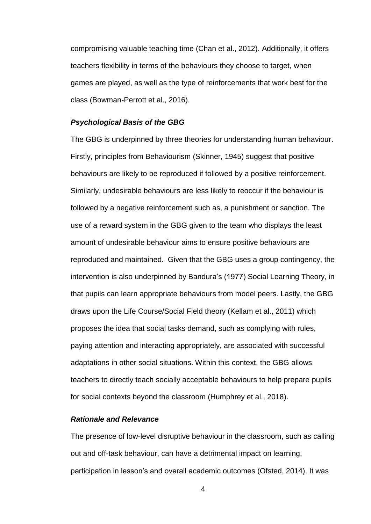compromising valuable teaching time (Chan et al., 2012). Additionally, it offers teachers flexibility in terms of the behaviours they choose to target, when games are played, as well as the type of reinforcements that work best for the class (Bowman-Perrott et al., 2016).

### *Psychological Basis of the GBG*

The GBG is underpinned by three theories for understanding human behaviour. Firstly, principles from Behaviourism (Skinner, 1945) suggest that positive behaviours are likely to be reproduced if followed by a positive reinforcement. Similarly, undesirable behaviours are less likely to reoccur if the behaviour is followed by a negative reinforcement such as, a punishment or sanction. The use of a reward system in the GBG given to the team who displays the least amount of undesirable behaviour aims to ensure positive behaviours are reproduced and maintained. Given that the GBG uses a group contingency, the intervention is also underpinned by Bandura's (1977) Social Learning Theory, in that pupils can learn appropriate behaviours from model peers. Lastly, the GBG draws upon the Life Course/Social Field theory (Kellam et al., 2011) which proposes the idea that social tasks demand, such as complying with rules, paying attention and interacting appropriately, are associated with successful adaptations in other social situations. Within this context, the GBG allows teachers to directly teach socially acceptable behaviours to help prepare pupils for social contexts beyond the classroom (Humphrey et al., 2018).

### *Rationale and Relevance*

The presence of low-level disruptive behaviour in the classroom, such as calling out and off-task behaviour, can have a detrimental impact on learning, participation in lesson's and overall academic outcomes (Ofsted, 2014). It was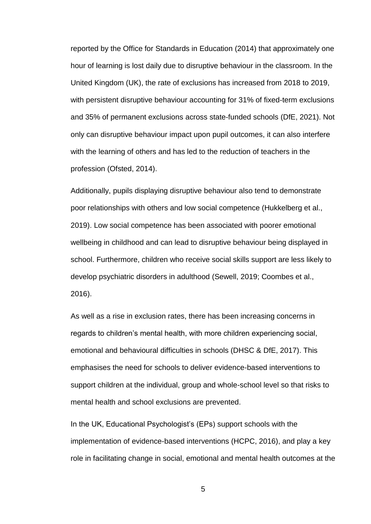reported by the Office for Standards in Education (2014) that approximately one hour of learning is lost daily due to disruptive behaviour in the classroom. In the United Kingdom (UK), the rate of exclusions has increased from 2018 to 2019, with persistent disruptive behaviour accounting for 31% of fixed-term exclusions and 35% of permanent exclusions across state-funded schools (DfE, 2021). Not only can disruptive behaviour impact upon pupil outcomes, it can also interfere with the learning of others and has led to the reduction of teachers in the profession (Ofsted, 2014).

Additionally, pupils displaying disruptive behaviour also tend to demonstrate poor relationships with others and low social competence (Hukkelberg et al., 2019). Low social competence has been associated with poorer emotional wellbeing in childhood and can lead to disruptive behaviour being displayed in school. Furthermore, children who receive social skills support are less likely to develop psychiatric disorders in adulthood (Sewell, 2019; Coombes et al., 2016).

As well as a rise in exclusion rates, there has been increasing concerns in regards to children's mental health, with more children experiencing social, emotional and behavioural difficulties in schools (DHSC & DfE, 2017). This emphasises the need for schools to deliver evidence-based interventions to support children at the individual, group and whole-school level so that risks to mental health and school exclusions are prevented.

In the UK, Educational Psychologist's (EPs) support schools with the implementation of evidence-based interventions (HCPC, 2016), and play a key role in facilitating change in social, emotional and mental health outcomes at the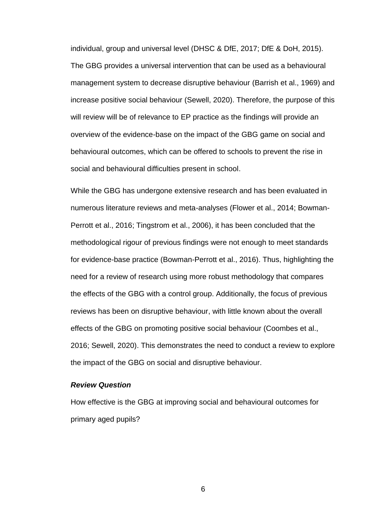individual, group and universal level (DHSC & DfE, 2017; DfE & DoH, 2015). The GBG provides a universal intervention that can be used as a behavioural management system to decrease disruptive behaviour (Barrish et al., 1969) and increase positive social behaviour (Sewell, 2020). Therefore, the purpose of this will review will be of relevance to EP practice as the findings will provide an overview of the evidence-base on the impact of the GBG game on social and behavioural outcomes, which can be offered to schools to prevent the rise in social and behavioural difficulties present in school.

While the GBG has undergone extensive research and has been evaluated in numerous literature reviews and meta-analyses (Flower et al., 2014; Bowman-Perrott et al., 2016; Tingstrom et al., 2006), it has been concluded that the methodological rigour of previous findings were not enough to meet standards for evidence-base practice (Bowman-Perrott et al., 2016). Thus, highlighting the need for a review of research using more robust methodology that compares the effects of the GBG with a control group. Additionally, the focus of previous reviews has been on disruptive behaviour, with little known about the overall effects of the GBG on promoting positive social behaviour (Coombes et al., 2016; Sewell, 2020). This demonstrates the need to conduct a review to explore the impact of the GBG on social and disruptive behaviour.

### *Review Question*

How effective is the GBG at improving social and behavioural outcomes for primary aged pupils?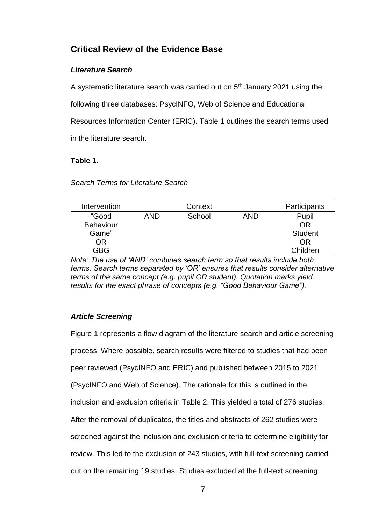# **Critical Review of the Evidence Base**

# *Literature Search*

A systematic literature search was carried out on  $5<sup>th</sup>$  January 2021 using the following three databases: PsycINFO, Web of Science and Educational Resources Information Center (ERIC). Table 1 outlines the search terms used in the literature search.

# **Table 1.**

### *Search Terms for Literature Search*

| Intervention     |            | Context |            | Participants   |
|------------------|------------|---------|------------|----------------|
| "Good            | <b>AND</b> | School  | <b>AND</b> | Pupil          |
| <b>Behaviour</b> |            |         |            | OR             |
| Game"            |            |         |            | <b>Student</b> |
| OR               |            |         |            | <b>OR</b>      |
| GBG              |            |         |            | Children       |

*Note: The use of 'AND' combines search term so that results include both terms. Search terms separated by 'OR' ensures that results consider alternative terms of the same concept (e.g. pupil OR student). Quotation marks yield results for the exact phrase of concepts (e.g. "Good Behaviour Game").* 

# *Article Screening*

Figure 1 represents a flow diagram of the literature search and article screening process. Where possible, search results were filtered to studies that had been peer reviewed (PsycINFO and ERIC) and published between 2015 to 2021 (PsycINFO and Web of Science). The rationale for this is outlined in the inclusion and exclusion criteria in Table 2. This yielded a total of 276 studies. After the removal of duplicates, the titles and abstracts of 262 studies were screened against the inclusion and exclusion criteria to determine eligibility for review. This led to the exclusion of 243 studies, with full-text screening carried out on the remaining 19 studies. Studies excluded at the full-text screening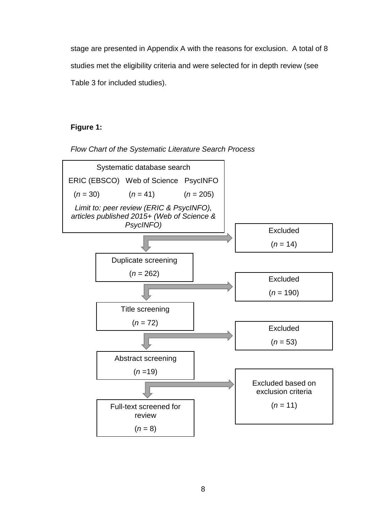stage are presented in Appendix A with the reasons for exclusion. A total of 8 studies met the eligibility criteria and were selected for in depth review (see Table 3 for included studies).

# **Figure 1:**



*Flow Chart of the Systematic Literature Search Process*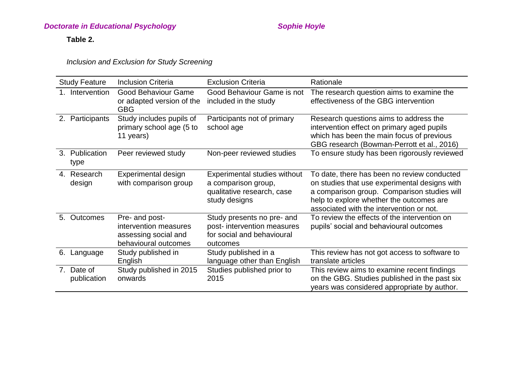# **Doctorate in Educational Psychology** Manual Assets of the Sophie Hoyle

# **Table 2.**

*Inclusion and Exclusion for Study Screening* 

| <b>Study Feature</b>                                     | <b>Inclusion Criteria</b>                                                               | <b>Exclusion Criteria</b>                                                                           | Rationale                                                                                                                                                                                                                           |
|----------------------------------------------------------|-----------------------------------------------------------------------------------------|-----------------------------------------------------------------------------------------------------|-------------------------------------------------------------------------------------------------------------------------------------------------------------------------------------------------------------------------------------|
| 1. Intervention                                          | Good Behaviour Game<br>or adapted version of the<br><b>GBG</b>                          | Good Behaviour Game is not<br>included in the study                                                 | The research question aims to examine the<br>effectiveness of the GBG intervention                                                                                                                                                  |
| 2. Participants                                          | Study includes pupils of<br>primary school age (5 to<br>11 years)                       | Participants not of primary<br>school age                                                           | Research questions aims to address the<br>intervention effect on primary aged pupils<br>which has been the main focus of previous<br>GBG research (Bowman-Perrott et al., 2016)                                                     |
| 3. Publication<br>type                                   | Peer reviewed study                                                                     | Non-peer reviewed studies                                                                           | To ensure study has been rigorously reviewed                                                                                                                                                                                        |
| 4. Research<br>design                                    | Experimental design<br>with comparison group                                            | Experimental studies without<br>a comparison group,<br>qualitative research, case<br>study designs  | To date, there has been no review conducted<br>on studies that use experimental designs with<br>a comparison group. Comparison studies will<br>help to explore whether the outcomes are<br>associated with the intervention or not. |
| 5. Outcomes                                              | Pre- and post-<br>intervention measures<br>assessing social and<br>behavioural outcomes | Study presents no pre- and<br>post- intervention measures<br>for social and behavioural<br>outcomes | To review the effects of the intervention on<br>pupils' social and behavioural outcomes                                                                                                                                             |
| 6.<br>Language                                           | Study published in<br>English                                                           | Study published in a<br>language other than English                                                 | This review has not got access to software to<br>translate articles                                                                                                                                                                 |
| Date of<br>$7_{\scriptscriptstyle{\sim}}$<br>publication | Study published in 2015<br>onwards                                                      | Studies published prior to<br>2015                                                                  | This review aims to examine recent findings<br>on the GBG. Studies published in the past six<br>years was considered appropriate by author.                                                                                         |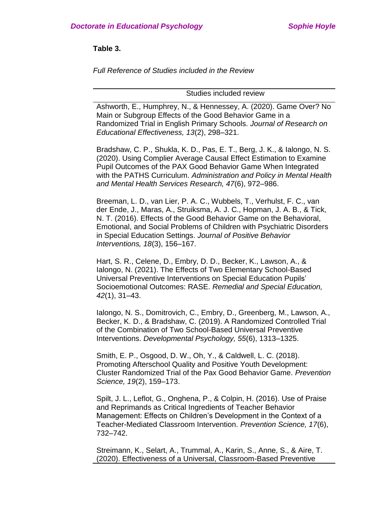**Table 3.**

*Full Reference of Studies included in the Review* 

Studies included review

Ashworth, E., Humphrey, N., & Hennessey, A. (2020). Game Over? No Main or Subgroup Effects of the Good Behavior Game in a Randomized Trial in English Primary Schools. *Journal of Research on Educational Effectiveness, 13*(2), 298–321.

Bradshaw, C. P., Shukla, K. D., Pas, E. T., Berg, J. K., & Ialongo, N. S. (2020). Using Complier Average Causal Effect Estimation to Examine Pupil Outcomes of the PAX Good Behavior Game When Integrated with the PATHS Curriculum. *Administration and Policy in Mental Health and Mental Health Services Research, 47*(6), 972–986.

Breeman, L. D., van Lier, P. A. C., Wubbels, T., Verhulst, F. C., van der Ende, J., Maras, A., Struiksma, A. J. C., Hopman, J. A. B., & Tick, N. T. (2016). Effects of the Good Behavior Game on the Behavioral, Emotional, and Social Problems of Children with Psychiatric Disorders in Special Education Settings. *Journal of Positive Behavior Interventions, 18*(3), 156–167.

Hart, S. R., Celene, D., Embry, D. D., Becker, K., Lawson, A., & Ialongo, N. (2021). The Effects of Two Elementary School-Based Universal Preventive Interventions on Special Education Pupils' Socioemotional Outcomes: RASE. *Remedial and Special Education, 42*(1), 31–43.

Ialongo, N. S., Domitrovich, C., Embry, D., Greenberg, M., Lawson, A., Becker, K. D., & Bradshaw, C. (2019). A Randomized Controlled Trial of the Combination of Two School-Based Universal Preventive Interventions. *Developmental Psychology, 55*(6), 1313–1325.

Smith, E. P., Osgood, D. W., Oh, Y., & Caldwell, L. C. (2018). Promoting Afterschool Quality and Positive Youth Development: Cluster Randomized Trial of the Pax Good Behavior Game. *Prevention Science, 19*(2), 159–173.

Spilt, J. L., Leflot, G., Onghena, P., & Colpin, H. (2016). Use of Praise and Reprimands as Critical Ingredients of Teacher Behavior Management: Effects on Children's Development in the Context of a Teacher-Mediated Classroom Intervention. *Prevention Science, 17*(6), 732–742.

Streimann, K., Selart, A., Trummal, A., Karin, S., Anne, S., & Aire, T. (2020). Effectiveness of a Universal, Classroom-Based Preventive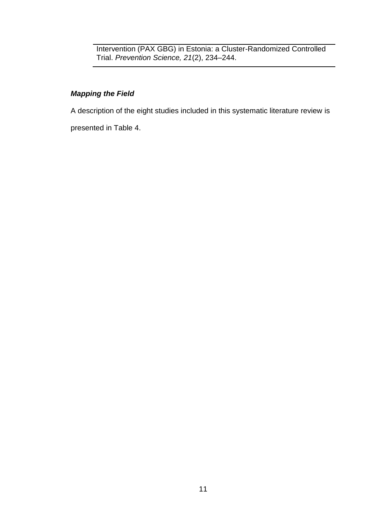Intervention (PAX GBG) in Estonia: a Cluster-Randomized Controlled Trial. *Prevention Science, 21*(2), 234–244.

# *Mapping the Field*

A description of the eight studies included in this systematic literature review is

presented in Table 4.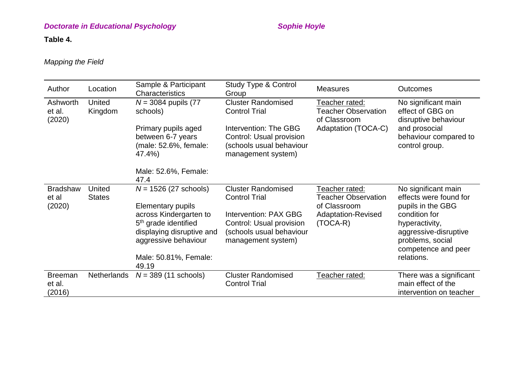# **Doctorate in Educational Psychology** Manual Assets of the Sophie Hoyle

# **Table 4.**

# *Mapping the Field*

| Author                             | Location                       | Sample & Participant<br>Characteristics                                                                                                                                                                          | <b>Study Type &amp; Control</b><br>Group                                                                                                                 | <b>Measures</b>                                                                                         | <b>Outcomes</b>                                                                                                                                                                         |
|------------------------------------|--------------------------------|------------------------------------------------------------------------------------------------------------------------------------------------------------------------------------------------------------------|----------------------------------------------------------------------------------------------------------------------------------------------------------|---------------------------------------------------------------------------------------------------------|-----------------------------------------------------------------------------------------------------------------------------------------------------------------------------------------|
| Ashworth<br>et al.<br>(2020)       | United<br>Kingdom              | $N = 3084$ pupils (77)<br>schools)<br>Primary pupils aged<br>between 6-7 years<br>(male: 52.6%, female:<br>47.4%)<br>Male: 52.6%, Female:                                                                        | <b>Cluster Randomised</b><br><b>Control Trial</b><br>Intervention: The GBG<br>Control: Usual provision<br>(schools usual behaviour<br>management system) | Teacher rated:<br><b>Teacher Observation</b><br>of Classroom<br>Adaptation (TOCA-C)                     | No significant main<br>effect of GBG on<br>disruptive behaviour<br>and prosocial<br>behaviour compared to<br>control group.                                                             |
|                                    |                                | 47.4                                                                                                                                                                                                             |                                                                                                                                                          |                                                                                                         |                                                                                                                                                                                         |
| <b>Bradshaw</b><br>et al<br>(2020) | <b>United</b><br><b>States</b> | $N = 1526 (27 \text{ schools})$<br><b>Elementary pupils</b><br>across Kindergarten to<br>5 <sup>th</sup> grade identified<br>displaying disruptive and<br>aggressive behaviour<br>Male: 50.81%, Female:<br>49.19 | <b>Cluster Randomised</b><br><b>Control Trial</b><br>Intervention: PAX GBG<br>Control: Usual provision<br>(schools usual behaviour<br>management system) | Teacher rated:<br><b>Teacher Observation</b><br>of Classroom<br><b>Adaptation-Revised</b><br>$(TOCA-R)$ | No significant main<br>effects were found for<br>pupils in the GBG<br>condition for<br>hyperactivity,<br>aggressive-disruptive<br>problems, social<br>competence and peer<br>relations. |
| <b>Breeman</b><br>et al.<br>(2016) | Netherlands                    | $N = 389$ (11 schools)                                                                                                                                                                                           | <b>Cluster Randomised</b><br><b>Control Trial</b>                                                                                                        | Teacher rated:                                                                                          | There was a significant<br>main effect of the<br>intervention on teacher                                                                                                                |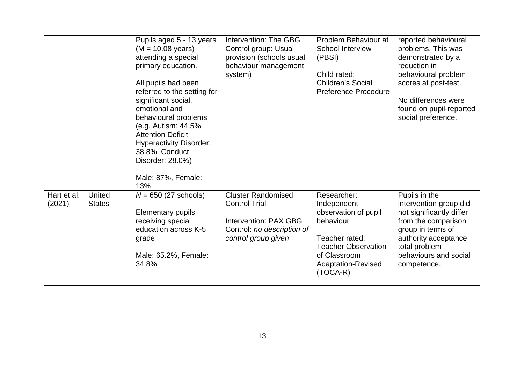|                       |                         | Pupils aged 5 - 13 years<br>$(M = 10.08 \text{ years})$<br>attending a special<br>primary education.<br>All pupils had been<br>referred to the setting for<br>significant social,<br>emotional and<br>behavioural problems<br>(e.g. Autism: 44.5%,<br><b>Attention Deficit</b><br><b>Hyperactivity Disorder:</b><br>38.8%, Conduct<br>Disorder: 28.0%)<br>Male: 87%, Female:<br>13% | Intervention: The GBG<br>Control group: Usual<br>provision (schools usual<br>behaviour management<br>system)                           | Problem Behaviour at<br><b>School Interview</b><br>(PBSI)<br>Child rated:<br><b>Children's Social</b><br><b>Preference Procedure</b>                                | reported behavioural<br>problems. This was<br>demonstrated by a<br>reduction in<br>behavioural problem<br>scores at post-test.<br>No differences were<br>found on pupil-reported<br>social preference. |
|-----------------------|-------------------------|-------------------------------------------------------------------------------------------------------------------------------------------------------------------------------------------------------------------------------------------------------------------------------------------------------------------------------------------------------------------------------------|----------------------------------------------------------------------------------------------------------------------------------------|---------------------------------------------------------------------------------------------------------------------------------------------------------------------|--------------------------------------------------------------------------------------------------------------------------------------------------------------------------------------------------------|
| Hart et al.<br>(2021) | United<br><b>States</b> | $N = 650$ (27 schools)<br><b>Elementary pupils</b><br>receiving special<br>education across K-5<br>grade<br>Male: 65.2%, Female:<br>34.8%                                                                                                                                                                                                                                           | <b>Cluster Randomised</b><br><b>Control Trial</b><br><b>Intervention: PAX GBG</b><br>Control: no description of<br>control group given | Researcher:<br>Independent<br>observation of pupil<br>behaviour<br>Teacher rated:<br><b>Teacher Observation</b><br>of Classroom<br>Adaptation-Revised<br>$(TOCA-R)$ | Pupils in the<br>intervention group did<br>not significantly differ<br>from the comparison<br>group in terms of<br>authority acceptance,<br>total problem<br>behaviours and social<br>competence.      |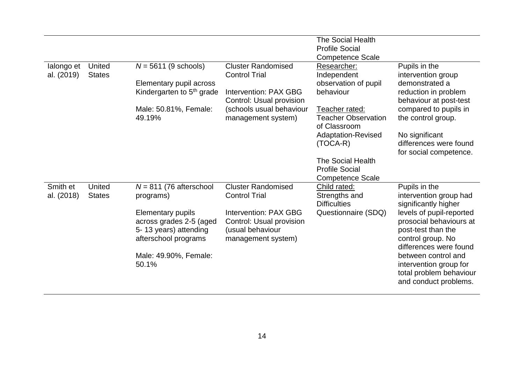|                          |                                |                                                                                                      |                                                                                             | <b>The Social Health</b><br><b>Profile Social</b><br><b>Competence Scale</b> |                                                                                                                          |
|--------------------------|--------------------------------|------------------------------------------------------------------------------------------------------|---------------------------------------------------------------------------------------------|------------------------------------------------------------------------------|--------------------------------------------------------------------------------------------------------------------------|
| lalongo et<br>al. (2019) | United<br><b>States</b>        | $N = 5611$ (9 schools)<br>Elementary pupil across                                                    | <b>Cluster Randomised</b><br><b>Control Trial</b>                                           | Researcher:<br>Independent<br>observation of pupil                           | Pupils in the<br>intervention group<br>demonstrated a                                                                    |
|                          |                                | Kindergarten to 5 <sup>th</sup> grade                                                                | Intervention: PAX GBG<br>Control: Usual provision                                           | behaviour                                                                    | reduction in problem<br>behaviour at post-test                                                                           |
|                          |                                | Male: 50.81%, Female:<br>49.19%                                                                      | (schools usual behaviour<br>management system)                                              | Teacher rated:<br><b>Teacher Observation</b><br>of Classroom                 | compared to pupils in<br>the control group.                                                                              |
|                          |                                |                                                                                                      |                                                                                             | <b>Adaptation-Revised</b><br>$(TOCA-R)$                                      | No significant<br>differences were found<br>for social competence.                                                       |
|                          |                                |                                                                                                      |                                                                                             | <b>The Social Health</b><br><b>Profile Social</b><br><b>Competence Scale</b> |                                                                                                                          |
| Smith et<br>al. (2018)   | <b>United</b><br><b>States</b> | $N = 811$ (76 afterschool<br>programs)                                                               | <b>Cluster Randomised</b><br><b>Control Trial</b>                                           | Child rated:<br>Strengths and<br><b>Difficulties</b>                         | Pupils in the<br>intervention group had<br>significantly higher                                                          |
|                          |                                | <b>Elementary pupils</b><br>across grades 2-5 (aged<br>5-13 years) attending<br>afterschool programs | Intervention: PAX GBG<br>Control: Usual provision<br>(usual behaviour<br>management system) | Questionnaire (SDQ)                                                          | levels of pupil-reported<br>prosocial behaviours at<br>post-test than the<br>control group. No<br>differences were found |
|                          |                                | Male: 49.90%, Female:<br>50.1%                                                                       |                                                                                             |                                                                              | between control and<br>intervention group for<br>total problem behaviour<br>and conduct problems.                        |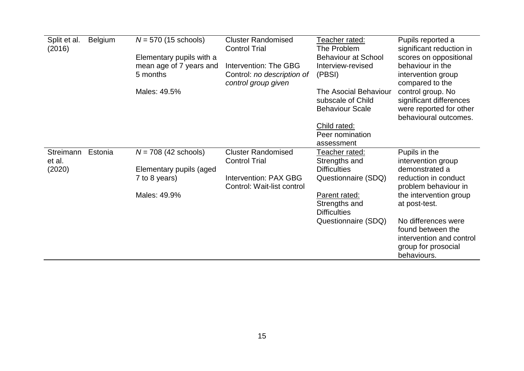| Split et al.<br>(2016) | <b>Belgium</b> | $N = 570$ (15 schools)<br>Elementary pupils with a<br>mean age of 7 years and<br>5 months | <b>Cluster Randomised</b><br><b>Control Trial</b><br>Intervention: The GBG<br>Control: no description of<br>control group given | Teacher rated:<br>The Problem<br><b>Behaviour at School</b><br>Interview-revised<br>(PBSI) | Pupils reported a<br>significant reduction in<br>scores on oppositional<br>behaviour in the<br>intervention group<br>compared to the |
|------------------------|----------------|-------------------------------------------------------------------------------------------|---------------------------------------------------------------------------------------------------------------------------------|--------------------------------------------------------------------------------------------|--------------------------------------------------------------------------------------------------------------------------------------|
|                        |                | Males: 49.5%                                                                              |                                                                                                                                 | <b>The Asocial Behaviour</b><br>subscale of Child<br><b>Behaviour Scale</b>                | control group. No<br>significant differences<br>were reported for other<br>behavioural outcomes.                                     |
|                        |                |                                                                                           |                                                                                                                                 | <b>Child rated:</b><br>Peer nomination<br>assessment                                       |                                                                                                                                      |
| Streimann<br>et al.    | Estonia        | $N = 708$ (42 schools)                                                                    | <b>Cluster Randomised</b><br><b>Control Trial</b>                                                                               | Teacher rated:<br>Strengths and                                                            | Pupils in the<br>intervention group                                                                                                  |
| (2020)                 |                | Elementary pupils (aged                                                                   |                                                                                                                                 | <b>Difficulties</b>                                                                        | demonstrated a                                                                                                                       |
|                        |                | 7 to 8 years)                                                                             | Intervention: PAX GBG<br>Control: Wait-list control                                                                             | Questionnaire (SDQ)                                                                        | reduction in conduct<br>problem behaviour in                                                                                         |
|                        |                | Males: 49.9%                                                                              |                                                                                                                                 | Parent rated:<br>Strengths and<br><b>Difficulties</b>                                      | the intervention group<br>at post-test.                                                                                              |
|                        |                |                                                                                           |                                                                                                                                 | Questionnaire (SDQ)                                                                        | No differences were<br>found between the<br>intervention and control<br>group for prosocial<br>behaviours.                           |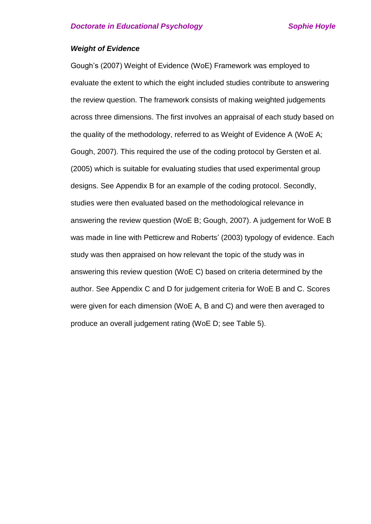### *Weight of Evidence*

Gough's (2007) Weight of Evidence (WoE) Framework was employed to evaluate the extent to which the eight included studies contribute to answering the review question. The framework consists of making weighted judgements across three dimensions. The first involves an appraisal of each study based on the quality of the methodology, referred to as Weight of Evidence A (WoE A; Gough, 2007). This required the use of the coding protocol by Gersten et al. (2005) which is suitable for evaluating studies that used experimental group designs. See Appendix B for an example of the coding protocol. Secondly, studies were then evaluated based on the methodological relevance in answering the review question (WoE B; Gough, 2007). A judgement for WoE B was made in line with Petticrew and Roberts' (2003) typology of evidence. Each study was then appraised on how relevant the topic of the study was in answering this review question (WoE C) based on criteria determined by the author. See Appendix C and D for judgement criteria for WoE B and C. Scores were given for each dimension (WoE A, B and C) and were then averaged to produce an overall judgement rating (WoE D; see Table 5).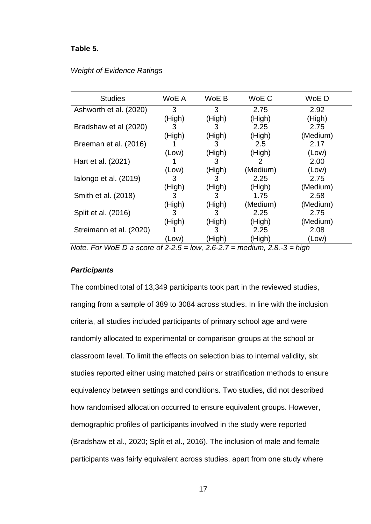### **Table 5.**

### *Weight of Evidence Ratings*

| <b>Studies</b>                                                                        | WoE A  | WoE B    | WoE C             | WoE D    |  |
|---------------------------------------------------------------------------------------|--------|----------|-------------------|----------|--|
| Ashworth et al. (2020)                                                                | 3      | 3        | 2.75              | 2.92     |  |
|                                                                                       | (High) | (High)   | (High)            | (High)   |  |
| Bradshaw et al (2020)                                                                 | 3      | 3        | 2.25              | 2.75     |  |
|                                                                                       | (High) | (High)   | (High)            | (Medium) |  |
| Breeman et al. (2016)                                                                 |        | 3        | 2.5               | 2.17     |  |
|                                                                                       | (Low)  | (High)   | (High)            | (Low)    |  |
| Hart et al. (2021)                                                                    |        | 3        | 2                 | 2.00     |  |
|                                                                                       | (Low)  | (High)   | (Medium)          | (Low)    |  |
| lalongo et al. (2019)                                                                 | 3      | 3        | 2.25              | 2.75     |  |
|                                                                                       | (High) | (High)   | (High)            | (Medium) |  |
| Smith et al. (2018)                                                                   | 3      | 3        | 1.75              | 2.58     |  |
|                                                                                       | (High) | (High)   | (Medium)          | (Medium) |  |
| Split et al. (2016)                                                                   | 3      | 3        | 2.25              | 2.75     |  |
|                                                                                       | (High) | (High)   | (High)            | (Medium) |  |
| Streimann et al. (2020)                                                               |        | 3        | 2.25              | 2.08     |  |
|                                                                                       | (Low)  | (High)   | (High)            | (Low)    |  |
| $N = 5$ $\frac{11}{6}$ $\Gamma$ $\Omega$ $\Omega$ $\Omega$ $\Omega$ $\Omega$ $\Omega$ |        | 1.1.0007 | ົ<br>maadiyaa ∩ ∩ | المنابط  |  |

*Note. For WoE D a score of 2-2.5 = low, 2.6-2.7 = medium, 2.8.-3 = high* 

### *Participants*

The combined total of 13,349 participants took part in the reviewed studies, ranging from a sample of 389 to 3084 across studies. In line with the inclusion criteria, all studies included participants of primary school age and were randomly allocated to experimental or comparison groups at the school or classroom level. To limit the effects on selection bias to internal validity, six studies reported either using matched pairs or stratification methods to ensure equivalency between settings and conditions. Two studies, did not described how randomised allocation occurred to ensure equivalent groups. However, demographic profiles of participants involved in the study were reported (Bradshaw et al., 2020; Split et al., 2016). The inclusion of male and female participants was fairly equivalent across studies, apart from one study where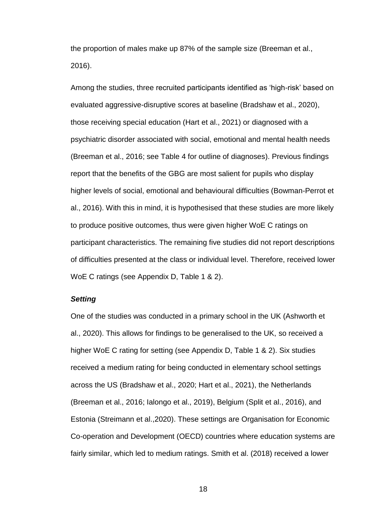the proportion of males make up 87% of the sample size (Breeman et al., 2016).

Among the studies, three recruited participants identified as 'high-risk' based on evaluated aggressive-disruptive scores at baseline (Bradshaw et al., 2020), those receiving special education (Hart et al., 2021) or diagnosed with a psychiatric disorder associated with social, emotional and mental health needs (Breeman et al., 2016; see Table 4 for outline of diagnoses). Previous findings report that the benefits of the GBG are most salient for pupils who display higher levels of social, emotional and behavioural difficulties (Bowman-Perrot et al., 2016). With this in mind, it is hypothesised that these studies are more likely to produce positive outcomes, thus were given higher WoE C ratings on participant characteristics. The remaining five studies did not report descriptions of difficulties presented at the class or individual level. Therefore, received lower WoE C ratings (see Appendix D, Table 1 & 2).

### *Setting*

One of the studies was conducted in a primary school in the UK (Ashworth et al., 2020). This allows for findings to be generalised to the UK, so received a higher WoE C rating for setting (see Appendix D, Table 1 & 2). Six studies received a medium rating for being conducted in elementary school settings across the US (Bradshaw et al., 2020; Hart et al., 2021), the Netherlands (Breeman et al., 2016; Ialongo et al., 2019), Belgium (Split et al., 2016), and Estonia (Streimann et al.,2020). These settings are Organisation for Economic Co-operation and Development (OECD) countries where education systems are fairly similar, which led to medium ratings. Smith et al. (2018) received a lower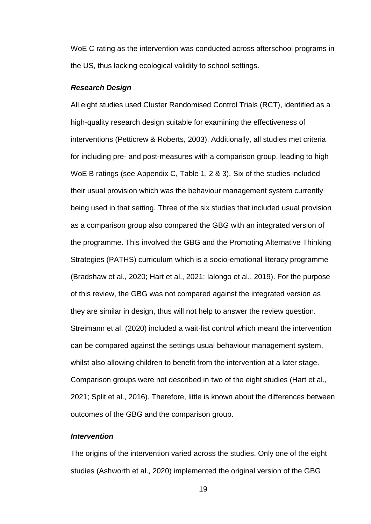WoE C rating as the intervention was conducted across afterschool programs in the US, thus lacking ecological validity to school settings.

### *Research Design*

All eight studies used Cluster Randomised Control Trials (RCT), identified as a high-quality research design suitable for examining the effectiveness of interventions (Petticrew & Roberts, 2003). Additionally, all studies met criteria for including pre- and post-measures with a comparison group, leading to high WoE B ratings (see Appendix C, Table 1, 2 & 3). Six of the studies included their usual provision which was the behaviour management system currently being used in that setting. Three of the six studies that included usual provision as a comparison group also compared the GBG with an integrated version of the programme. This involved the GBG and the Promoting Alternative Thinking Strategies (PATHS) curriculum which is a socio-emotional literacy programme (Bradshaw et al., 2020; Hart et al., 2021; Ialongo et al., 2019). For the purpose of this review, the GBG was not compared against the integrated version as they are similar in design, thus will not help to answer the review question. Streimann et al. (2020) included a wait-list control which meant the intervention can be compared against the settings usual behaviour management system, whilst also allowing children to benefit from the intervention at a later stage. Comparison groups were not described in two of the eight studies (Hart et al., 2021; Split et al., 2016). Therefore, little is known about the differences between outcomes of the GBG and the comparison group.

### *Intervention*

The origins of the intervention varied across the studies. Only one of the eight studies (Ashworth et al., 2020) implemented the original version of the GBG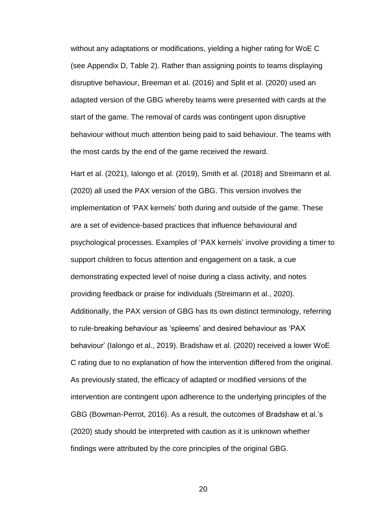without any adaptations or modifications, yielding a higher rating for WoE C (see Appendix D, Table 2). Rather than assigning points to teams displaying disruptive behaviour, Breeman et al. (2016) and Split et al. (2020) used an adapted version of the GBG whereby teams were presented with cards at the start of the game. The removal of cards was contingent upon disruptive behaviour without much attention being paid to said behaviour. The teams with the most cards by the end of the game received the reward.

Hart et al. (2021), Ialongo et al. (2019), Smith et al. (2018) and Streimann et al. (2020) all used the PAX version of the GBG. This version involves the implementation of 'PAX kernels' both during and outside of the game. These are a set of evidence-based practices that influence behavioural and psychological processes. Examples of 'PAX kernels' involve providing a timer to support children to focus attention and engagement on a task, a cue demonstrating expected level of noise during a class activity, and notes providing feedback or praise for individuals (Streimann et al., 2020). Additionally, the PAX version of GBG has its own distinct terminology, referring to rule-breaking behaviour as 'spleems' and desired behaviour as 'PAX behaviour' (Ialongo et al., 2019). Bradshaw et al. (2020) received a lower WoE C rating due to no explanation of how the intervention differed from the original. As previously stated, the efficacy of adapted or modified versions of the intervention are contingent upon adherence to the underlying principles of the GBG (Bowman-Perrot, 2016). As a result, the outcomes of Bradshaw et al.'s (2020) study should be interpreted with caution as it is unknown whether findings were attributed by the core principles of the original GBG.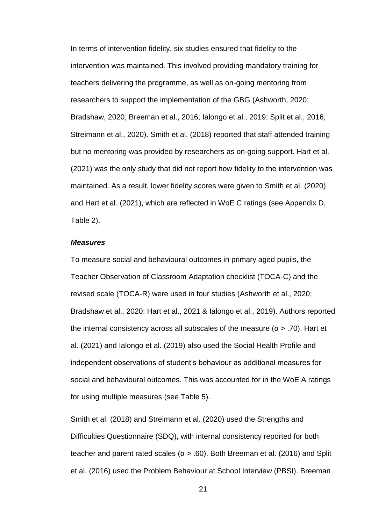In terms of intervention fidelity, six studies ensured that fidelity to the intervention was maintained. This involved providing mandatory training for teachers delivering the programme, as well as on-going mentoring from researchers to support the implementation of the GBG (Ashworth, 2020; Bradshaw, 2020; Breeman et al., 2016; Ialongo et al., 2019; Split et al., 2016; Streimann et al., 2020). Smith et al. (2018) reported that staff attended training but no mentoring was provided by researchers as on-going support. Hart et al. (2021) was the only study that did not report how fidelity to the intervention was maintained. As a result, lower fidelity scores were given to Smith et al. (2020) and Hart et al. (2021), which are reflected in WoE C ratings (see Appendix D, Table 2).

### *Measures*

To measure social and behavioural outcomes in primary aged pupils, the Teacher Observation of Classroom Adaptation checklist (TOCA-C) and the revised scale (TOCA-R) were used in four studies (Ashworth et al., 2020; Bradshaw et al., 2020; Hart et al., 2021 & Ialongo et al., 2019). Authors reported the internal consistency across all subscales of the measure  $(α > .70)$ . Hart et al. (2021) and Ialongo et al. (2019) also used the Social Health Profile and independent observations of student's behaviour as additional measures for social and behavioural outcomes. This was accounted for in the WoE A ratings for using multiple measures (see Table 5).

Smith et al. (2018) and Streimann et al. (2020) used the Strengths and Difficulties Questionnaire (SDQ), with internal consistency reported for both teacher and parent rated scales ( $\alpha$  > .60). Both Breeman et al. (2016) and Split et al. (2016) used the Problem Behaviour at School Interview (PBSI). Breeman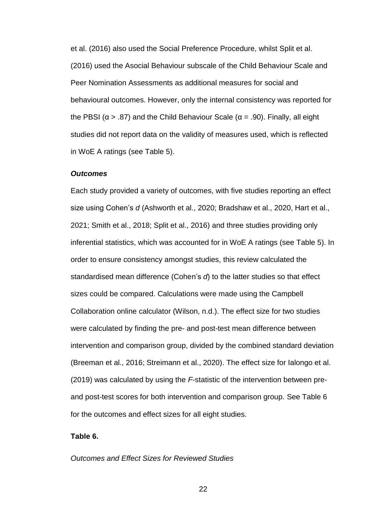et al. (2016) also used the Social Preference Procedure, whilst Split et al. (2016) used the Asocial Behaviour subscale of the Child Behaviour Scale and Peer Nomination Assessments as additional measures for social and behavioural outcomes. However, only the internal consistency was reported for the PBSI ( $\alpha$  > .87) and the Child Behaviour Scale ( $\alpha$  = .90). Finally, all eight studies did not report data on the validity of measures used, which is reflected in WoE A ratings (see Table 5).

### *Outcomes*

Each study provided a variety of outcomes, with five studies reporting an effect size using Cohen's *d* (Ashworth et al., 2020; Bradshaw et al., 2020, Hart et al., 2021; Smith et al., 2018; Split et al., 2016) and three studies providing only inferential statistics, which was accounted for in WoE A ratings (see Table 5). In order to ensure consistency amongst studies, this review calculated the standardised mean difference (Cohen's *d*) to the latter studies so that effect sizes could be compared. Calculations were made using the Campbell Collaboration online calculator (Wilson, n.d.). The effect size for two studies were calculated by finding the pre- and post-test mean difference between intervention and comparison group, divided by the combined standard deviation (Breeman et al., 2016; Streimann et al., 2020). The effect size for Ialongo et al. (2019) was calculated by using the *F*-statistic of the intervention between preand post-test scores for both intervention and comparison group. See Table 6 for the outcomes and effect sizes for all eight studies.

### **Table 6.**

### *Outcomes and Effect Sizes for Reviewed Studies*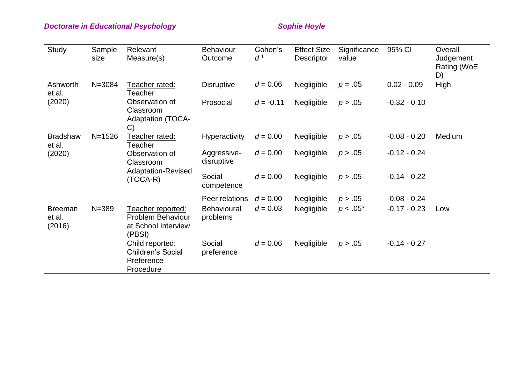# **Doctorate in Educational Psychology** Manual Assets of the Sophie Hoyle

| Study                              | Sample<br>size | Relevant<br>Measure(s)                                                  | <b>Behaviour</b><br>Outcome    | Cohen's<br>$d^1$ | <b>Effect Size</b><br><b>Descriptor</b> | Significance<br>value | 95% CI         | Overall<br>Judgement<br>Rating (WoE<br>D) |
|------------------------------------|----------------|-------------------------------------------------------------------------|--------------------------------|------------------|-----------------------------------------|-----------------------|----------------|-------------------------------------------|
| Ashworth<br>et al.                 | $N = 3084$     | Teacher rated:<br>Teacher                                               | <b>Disruptive</b>              | $d = 0.06$       | Negligible                              | $p = .05$             | $0.02 - 0.09$  | High                                      |
| (2020)                             |                | Observation of<br>Classroom<br><b>Adaptation (TOCA-</b><br>C)           | Prosocial                      | $d = -0.11$      | Negligible                              | p > .05               | $-0.32 - 0.10$ |                                           |
| <b>Bradshaw</b><br>et al.          | $N = 1526$     | Teacher rated:<br>Teacher                                               | <b>Hyperactivity</b>           | $d = 0.00$       | Negligible                              | p > .05               | $-0.08 - 0.20$ | Medium                                    |
| (2020)                             |                | Observation of<br>Classroom                                             | Aggressive-<br>disruptive      | $d = 0.00$       | Negligible                              | p > .05               | $-0.12 - 0.24$ |                                           |
|                                    |                | Adaptation-Revised<br>$(TOCA-R)$                                        | Social<br>competence           | $d = 0.00$       | Negligible                              | p > .05               | $-0.14 - 0.22$ |                                           |
|                                    |                |                                                                         | Peer relations                 | $d = 0.00$       | Negligible                              | p > .05               | $-0.08 - 0.24$ |                                           |
| <b>Breeman</b><br>et al.<br>(2016) | $N = 389$      | Teacher reported:<br>Problem Behaviour<br>at School Interview<br>(PBSI) | <b>Behavioural</b><br>problems | $d = 0.03$       | Negligible                              | $p < .05^*$           | $-0.17 - 0.23$ | Low                                       |
|                                    |                | Child reported:<br><b>Children's Social</b><br>Preference<br>Procedure  | Social<br>preference           | $d = 0.06$       | Negligible                              | p > .05               | $-0.14 - 0.27$ |                                           |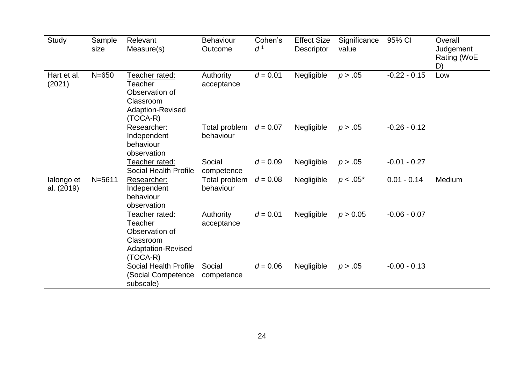| Study                    | Sample<br>size | Relevant<br>Measure(s)                                                                              | <b>Behaviour</b><br>Outcome | Cohen's<br>$d^1$ | <b>Effect Size</b><br><b>Descriptor</b> | Significance<br>value | 95% CI         | Overall<br>Judgement<br>Rating (WoE<br>D) |
|--------------------------|----------------|-----------------------------------------------------------------------------------------------------|-----------------------------|------------------|-----------------------------------------|-----------------------|----------------|-------------------------------------------|
| Hart et al.<br>(2021)    | $N = 650$      | Teacher rated:<br>Teacher<br>Observation of<br>Classroom<br><b>Adaption-Revised</b><br>$(TOCA-R)$   | Authority<br>acceptance     | $d = 0.01$       | Negligible                              | p > .05               | $-0.22 - 0.15$ | Low                                       |
|                          |                | Researcher:<br>Independent<br>behaviour<br>observation                                              | Total problem<br>behaviour  | $d = 0.07$       | Negligible                              | p > .05               | $-0.26 - 0.12$ |                                           |
|                          |                | Teacher rated:<br><b>Social Health Profile</b>                                                      | Social<br>competence        | $d = 0.09$       | Negligible                              | p > .05               | $-0.01 - 0.27$ |                                           |
| lalongo et<br>al. (2019) | $N = 5611$     | Researcher:<br>Independent<br>behaviour<br>observation                                              | Total problem<br>behaviour  | $d = 0.08$       | Negligible                              | $p < .05^*$           | $0.01 - 0.14$  | Medium                                    |
|                          |                | Teacher rated:<br>Teacher<br>Observation of<br>Classroom<br><b>Adaptation-Revised</b><br>$(TOCA-R)$ | Authority<br>acceptance     | $d = 0.01$       | Negligible                              | p > 0.05              | $-0.06 - 0.07$ |                                           |
|                          |                | <b>Social Health Profile</b><br>(Social Competence)<br>subscale)                                    | Social<br>competence        | $d = 0.06$       | Negligible                              | p > .05               | $-0.00 - 0.13$ |                                           |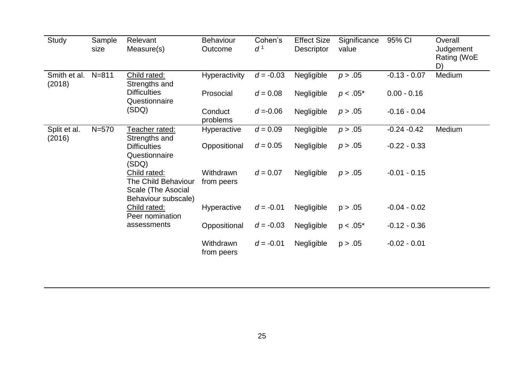| Study                  | Sample<br>size | Relevant<br>Measure(s)                                                                  | <b>Behaviour</b><br>Outcome | Cohen's<br>$d^1$ | <b>Effect Size</b><br><b>Descriptor</b> | Significance<br>value | 95% CI         | Overall<br>Judgement<br>Rating (WoE<br>D) |
|------------------------|----------------|-----------------------------------------------------------------------------------------|-----------------------------|------------------|-----------------------------------------|-----------------------|----------------|-------------------------------------------|
| Smith et al.<br>(2018) | $N = 811$      | Child rated:<br>Strengths and                                                           | Hyperactivity               | $d = -0.03$      | Negligible                              | p > .05               | $-0.13 - 0.07$ | Medium                                    |
|                        |                | <b>Difficulties</b><br>Questionnaire                                                    | Prosocial                   | $d = 0.08$       | Negligible                              | $p < .05^*$           | $0.00 - 0.16$  |                                           |
|                        |                | (SDQ)                                                                                   | Conduct<br>problems         | $d = -0.06$      | Negligible                              | p > .05               | $-0.16 - 0.04$ |                                           |
| Split et al.<br>(2016) | $N = 570$      | Teacher rated:<br>Strengths and                                                         | Hyperactive                 | $d = 0.09$       | Negligible                              | p > .05               | $-0.24 - 0.42$ | Medium                                    |
|                        |                | <b>Difficulties</b><br>Questionnaire<br>(SDQ)                                           | Oppositional                | $d = 0.05$       | Negligible                              | p > .05               | $-0.22 - 0.33$ |                                           |
|                        |                | Child rated:<br><b>The Child Behaviour</b><br>Scale (The Asocial<br>Behaviour subscale) | Withdrawn<br>from peers     | $d = 0.07$       | Negligible                              | p > .05               | $-0.01 - 0.15$ |                                           |
|                        |                | Child rated:<br>Peer nomination                                                         | Hyperactive                 | $d = -0.01$      | Negligible                              | p > .05               | $-0.04 - 0.02$ |                                           |
|                        |                | assessments                                                                             | Oppositional                | $d = -0.03$      | Negligible                              | $p < .05^*$           | $-0.12 - 0.36$ |                                           |
|                        |                |                                                                                         | Withdrawn<br>from peers     | $d = -0.01$      | Negligible                              | p > .05               | $-0.02 - 0.01$ |                                           |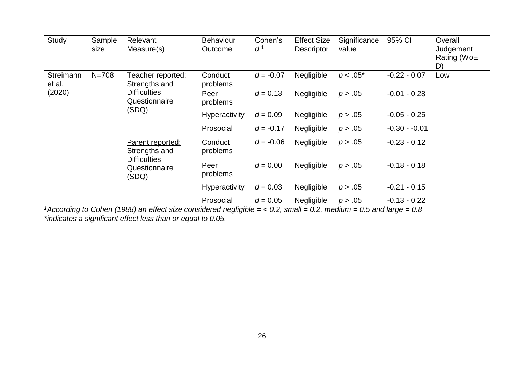| Study               | Sample<br>size | Relevant<br>Measure(s)                                                                                                                                                    | <b>Behaviour</b><br>Outcome | Cohen's<br>$d^1$ | <b>Effect Size</b><br><b>Descriptor</b> | Significance<br>value | 95% CI         | Overall<br>Judgement<br>Rating (WoE<br>D) |
|---------------------|----------------|---------------------------------------------------------------------------------------------------------------------------------------------------------------------------|-----------------------------|------------------|-----------------------------------------|-----------------------|----------------|-------------------------------------------|
| Streimann<br>et al. | $N = 708$      | Teacher reported:<br>Strengths and<br><b>Difficulties</b><br>Questionnaire<br>(SDQ)<br>Parent reported:<br>Strengths and<br><b>Difficulties</b><br>Questionnaire<br>(SDQ) | Conduct<br>problems         | $d = -0.07$      | Negligible                              | $p < .05^*$           | $-0.22 - 0.07$ | Low                                       |
| (2020)              |                |                                                                                                                                                                           | Peer<br>problems            | $d = 0.13$       | Negligible                              | p > .05               | $-0.01 - 0.28$ |                                           |
|                     |                |                                                                                                                                                                           | Hyperactivity               | $d = 0.09$       | Negligible                              | p > .05               | $-0.05 - 0.25$ |                                           |
|                     |                |                                                                                                                                                                           | Prosocial                   | $d = -0.17$      | Negligible                              | p > .05               | $-0.30 - 0.01$ |                                           |
|                     |                |                                                                                                                                                                           | Conduct<br>problems         | $d = -0.06$      | Negligible                              | p > .05               | $-0.23 - 0.12$ |                                           |
|                     |                |                                                                                                                                                                           | Peer<br>problems            | $d = 0.00$       | Negligible                              | p > .05               | $-0.18 - 0.18$ |                                           |
|                     |                |                                                                                                                                                                           | Hyperactivity               | $d = 0.03$       | Negligible                              | p > .05               | $-0.21 - 0.15$ |                                           |
|                     |                |                                                                                                                                                                           | Prosocial                   | $d = 0.05$       | Negligible                              | p > .05               | $-0.13 - 0.22$ |                                           |

*<sup>1</sup>According to Cohen (1988) an effect size considered negligible = < 0.2, small = 0.2, medium = 0.5 and large = 0.8 \*indicates a significant effect less than or equal to 0.05.*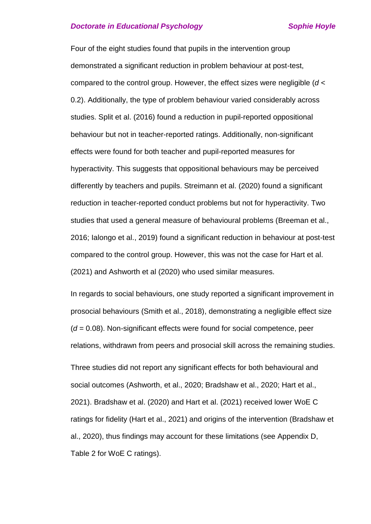### **Doctorate in Educational Psychology Contract Sophie Hoyle**

Four of the eight studies found that pupils in the intervention group demonstrated a significant reduction in problem behaviour at post-test, compared to the control group. However, the effect sizes were negligible (*d* < 0.2). Additionally, the type of problem behaviour varied considerably across studies. Split et al. (2016) found a reduction in pupil-reported oppositional behaviour but not in teacher-reported ratings. Additionally, non-significant effects were found for both teacher and pupil-reported measures for hyperactivity. This suggests that oppositional behaviours may be perceived differently by teachers and pupils. Streimann et al. (2020) found a significant reduction in teacher-reported conduct problems but not for hyperactivity. Two studies that used a general measure of behavioural problems (Breeman et al., 2016; Ialongo et al., 2019) found a significant reduction in behaviour at post-test compared to the control group. However, this was not the case for Hart et al. (2021) and Ashworth et al (2020) who used similar measures.

In regards to social behaviours, one study reported a significant improvement in prosocial behaviours (Smith et al., 2018), demonstrating a negligible effect size (*d* = 0.08). Non-significant effects were found for social competence, peer relations, withdrawn from peers and prosocial skill across the remaining studies.

Three studies did not report any significant effects for both behavioural and social outcomes (Ashworth, et al., 2020; Bradshaw et al., 2020; Hart et al., 2021). Bradshaw et al. (2020) and Hart et al. (2021) received lower WoE C ratings for fidelity (Hart et al., 2021) and origins of the intervention (Bradshaw et al., 2020), thus findings may account for these limitations (see Appendix D, Table 2 for WoE C ratings).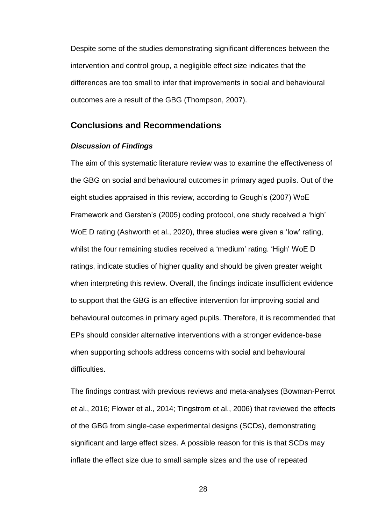Despite some of the studies demonstrating significant differences between the intervention and control group, a negligible effect size indicates that the differences are too small to infer that improvements in social and behavioural outcomes are a result of the GBG (Thompson, 2007).

### **Conclusions and Recommendations**

### *Discussion of Findings*

The aim of this systematic literature review was to examine the effectiveness of the GBG on social and behavioural outcomes in primary aged pupils. Out of the eight studies appraised in this review, according to Gough's (2007) WoE Framework and Gersten's (2005) coding protocol, one study received a 'high' WoE D rating (Ashworth et al., 2020), three studies were given a 'low' rating, whilst the four remaining studies received a 'medium' rating. 'High' WoE D ratings, indicate studies of higher quality and should be given greater weight when interpreting this review. Overall, the findings indicate insufficient evidence to support that the GBG is an effective intervention for improving social and behavioural outcomes in primary aged pupils. Therefore, it is recommended that EPs should consider alternative interventions with a stronger evidence-base when supporting schools address concerns with social and behavioural difficulties.

The findings contrast with previous reviews and meta-analyses (Bowman-Perrot et al., 2016; Flower et al., 2014; Tingstrom et al., 2006) that reviewed the effects of the GBG from single-case experimental designs (SCDs), demonstrating significant and large effect sizes. A possible reason for this is that SCDs may inflate the effect size due to small sample sizes and the use of repeated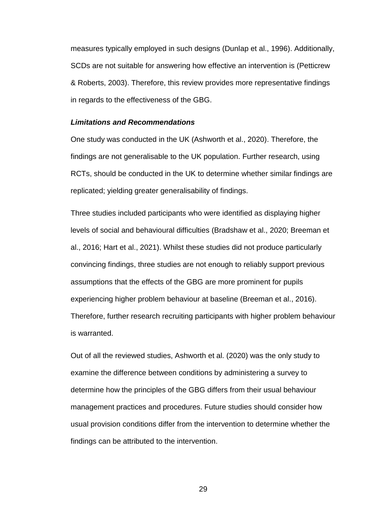measures typically employed in such designs (Dunlap et al., 1996). Additionally, SCDs are not suitable for answering how effective an intervention is (Petticrew & Roberts, 2003). Therefore, this review provides more representative findings in regards to the effectiveness of the GBG.

### *Limitations and Recommendations*

One study was conducted in the UK (Ashworth et al., 2020). Therefore, the findings are not generalisable to the UK population. Further research, using RCTs, should be conducted in the UK to determine whether similar findings are replicated; yielding greater generalisability of findings.

Three studies included participants who were identified as displaying higher levels of social and behavioural difficulties (Bradshaw et al., 2020; Breeman et al., 2016; Hart et al., 2021). Whilst these studies did not produce particularly convincing findings, three studies are not enough to reliably support previous assumptions that the effects of the GBG are more prominent for pupils experiencing higher problem behaviour at baseline (Breeman et al., 2016). Therefore, further research recruiting participants with higher problem behaviour is warranted.

Out of all the reviewed studies, Ashworth et al. (2020) was the only study to examine the difference between conditions by administering a survey to determine how the principles of the GBG differs from their usual behaviour management practices and procedures. Future studies should consider how usual provision conditions differ from the intervention to determine whether the findings can be attributed to the intervention.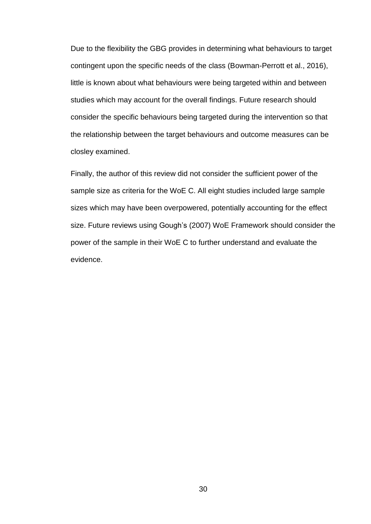Due to the flexibility the GBG provides in determining what behaviours to target contingent upon the specific needs of the class (Bowman-Perrott et al., 2016), little is known about what behaviours were being targeted within and between studies which may account for the overall findings. Future research should consider the specific behaviours being targeted during the intervention so that the relationship between the target behaviours and outcome measures can be closley examined.

Finally, the author of this review did not consider the sufficient power of the sample size as criteria for the WoE C. All eight studies included large sample sizes which may have been overpowered, potentially accounting for the effect size. Future reviews using Gough's (2007) WoE Framework should consider the power of the sample in their WoE C to further understand and evaluate the evidence.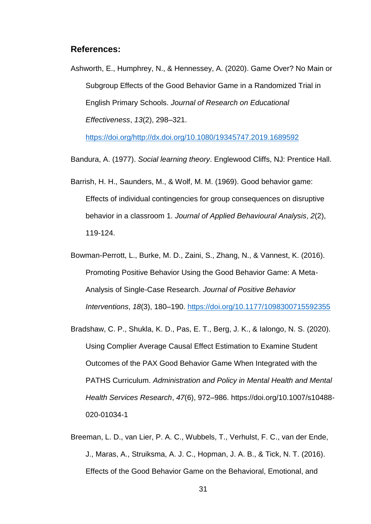### **References:**

Ashworth, E., Humphrey, N., & Hennessey, A. (2020). Game Over? No Main or Subgroup Effects of the Good Behavior Game in a Randomized Trial in English Primary Schools. *Journal of Research on Educational Effectiveness*, *13*(2), 298–321.

[https://doi.org/http://dx.doi.org/10.1080/19345747.2019.1689592](https://doi.org/http:/dx.doi.org/10.1080/19345747.2019.1689592)

Bandura, A. (1977). *Social learning theory*. Englewood Cliffs, NJ: Prentice Hall.

- Barrish, H. H., Saunders, M., & Wolf, M. M. (1969). Good behavior game: Effects of individual contingencies for group consequences on disruptive behavior in a classroom 1. *Journal of Applied Behavioural Analysis*, *2*(2), 119-124.
- Bowman-Perrott, L., Burke, M. D., Zaini, S., Zhang, N., & Vannest, K. (2016). Promoting Positive Behavior Using the Good Behavior Game: A Meta-Analysis of Single-Case Research. *Journal of Positive Behavior Interventions*, *18*(3), 180–190.<https://doi.org/10.1177/1098300715592355>
- Bradshaw, C. P., Shukla, K. D., Pas, E. T., Berg, J. K., & Ialongo, N. S. (2020). Using Complier Average Causal Effect Estimation to Examine Student Outcomes of the PAX Good Behavior Game When Integrated with the PATHS Curriculum. *Administration and Policy in Mental Health and Mental Health Services Research*, *47*(6), 972–986. https://doi.org/10.1007/s10488- 020-01034-1
- Breeman, L. D., van Lier, P. A. C., Wubbels, T., Verhulst, F. C., van der Ende, J., Maras, A., Struiksma, A. J. C., Hopman, J. A. B., & Tick, N. T. (2016). Effects of the Good Behavior Game on the Behavioral, Emotional, and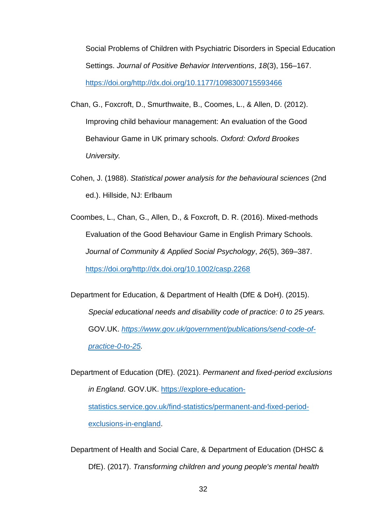Social Problems of Children with Psychiatric Disorders in Special Education Settings. *Journal of Positive Behavior Interventions*, *18*(3), 156–167. [https://doi.org/http://dx.doi.org/10.1177/1098300715593466](https://doi.org/http:/dx.doi.org/10.1177/1098300715593466)

- Chan, G., Foxcroft, D., Smurthwaite, B., Coomes, L., & Allen, D. (2012). Improving child behaviour management: An evaluation of the Good Behaviour Game in UK primary schools. *Oxford: Oxford Brookes University.*
- Cohen, J. (1988). *Statistical power analysis for the behavioural sciences* (2nd ed.). Hillside, NJ: Erlbaum
- Coombes, L., Chan, G., Allen, D., & Foxcroft, D. R. (2016). Mixed-methods Evaluation of the Good Behaviour Game in English Primary Schools. *Journal of Community & Applied Social Psychology*, *26*(5), 369–387. [https://doi.org/http://dx.doi.org/10.1002/casp.2268](https://doi.org/http:/dx.doi.org/10.1002/casp.2268)

Department for Education, & Department of Health (DfE & DoH). (2015). *Special educational needs and disability code of practice: 0 to 25 years.* GOV.UK. *[https://www.gov.uk/government/publications/send-code-of](https://www.gov.uk/government/publications/send-code-of-practice-0-to-25)[practice-0-to-25.](https://www.gov.uk/government/publications/send-code-of-practice-0-to-25)* 

Department of Education (DfE). (2021). *Permanent and fixed-period exclusions in England*. GOV.UK. [https://explore-education](https://explore-education-statistics.service.gov.uk/find-statistics/permanent-and-fixed-period-exclusions-in-england)[statistics.service.gov.uk/find-statistics/permanent-and-fixed-period](https://explore-education-statistics.service.gov.uk/find-statistics/permanent-and-fixed-period-exclusions-in-england)[exclusions-in-england.](https://explore-education-statistics.service.gov.uk/find-statistics/permanent-and-fixed-period-exclusions-in-england)

Department of Health and Social Care, & Department of Education (DHSC & DfE). (2017). *Transforming children and young people's mental health*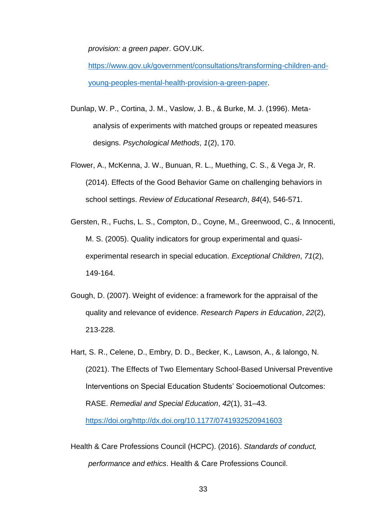*provision: a green paper*. GOV.UK.

[https://www.gov.uk/government/consultations/transforming-children-and](https://www.gov.uk/government/consultations/transforming-children-and-young-peoples-mental-health-provision-a-green-paper)[young-peoples-mental-health-provision-a-green-paper.](https://www.gov.uk/government/consultations/transforming-children-and-young-peoples-mental-health-provision-a-green-paper)

- Dunlap, W. P., Cortina, J. M., Vaslow, J. B., & Burke, M. J. (1996). Metaanalysis of experiments with matched groups or repeated measures designs. *Psychological Methods*, *1*(2), 170.
- Flower, A., McKenna, J. W., Bunuan, R. L., Muething, C. S., & Vega Jr, R. (2014). Effects of the Good Behavior Game on challenging behaviors in school settings. *Review of Educational Research*, *84*(4), 546-571.
- Gersten, R., Fuchs, L. S., Compton, D., Coyne, M., Greenwood, C., & Innocenti, M. S. (2005). Quality indicators for group experimental and quasiexperimental research in special education. *Exceptional Children*, *71*(2), 149-164.
- Gough, D. (2007). Weight of evidence: a framework for the appraisal of the quality and relevance of evidence. *Research Papers in Education*, *22*(2), 213-228.
- Hart, S. R., Celene, D., Embry, D. D., Becker, K., Lawson, A., & Ialongo, N. (2021). The Effects of Two Elementary School-Based Universal Preventive Interventions on Special Education Students' Socioemotional Outcomes: RASE. *Remedial and Special Education*, *42*(1), 31–43. [https://doi.org/http://dx.doi.org/10.1177/0741932520941603](https://doi.org/http:/dx.doi.org/10.1177/0741932520941603)
- Health & Care Professions Council (HCPC). (2016). *Standards of conduct, performance and ethics*. Health & Care Professions Council.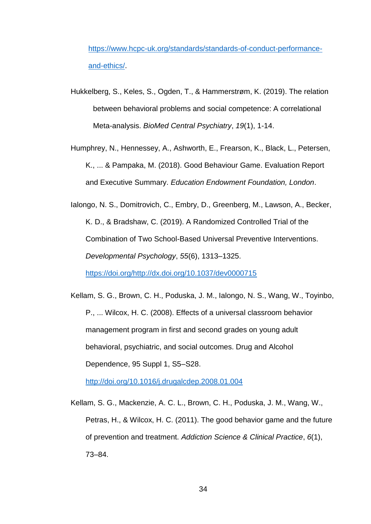[https://www.hcpc-uk.org/standards/standards-of-conduct-performance](https://www.hcpc-uk.org/standards/standards-of-conduct-performance-and-ethics/)[and-ethics/.](https://www.hcpc-uk.org/standards/standards-of-conduct-performance-and-ethics/)

- Hukkelberg, S., Keles, S., Ogden, T., & Hammerstrøm, K. (2019). The relation between behavioral problems and social competence: A correlational Meta-analysis. *BioMed Central Psychiatry*, *19*(1), 1-14.
- Humphrey, N., Hennessey, A., Ashworth, E., Frearson, K., Black, L., Petersen, K., ... & Pampaka, M. (2018). Good Behaviour Game. Evaluation Report and Executive Summary. *Education Endowment Foundation, London*.
- Ialongo, N. S., Domitrovich, C., Embry, D., Greenberg, M., Lawson, A., Becker, K. D., & Bradshaw, C. (2019). A Randomized Controlled Trial of the Combination of Two School-Based Universal Preventive Interventions. *Developmental Psychology*, *55*(6), 1313–1325.

[https://doi.org/http://dx.doi.org/10.1037/dev0000715](https://doi.org/http:/dx.doi.org/10.1037/dev0000715)

Kellam, S. G., Brown, C. H., Poduska, J. M., Ialongo, N. S., Wang, W., Toyinbo, P., ... Wilcox, H. C. (2008). Effects of a universal classroom behavior management program in first and second grades on young adult behavioral, psychiatric, and social outcomes. Drug and Alcohol Dependence, 95 Suppl 1, S5–S28.

<http://doi.org/10.1016/j.drugalcdep.2008.01.004>

Kellam, S. G., Mackenzie, A. C. L., Brown, C. H., Poduska, J. M., Wang, W., Petras, H., & Wilcox, H. C. (2011). The good behavior game and the future of prevention and treatment. *Addiction Science & Clinical Practice*, *6*(1), 73–84.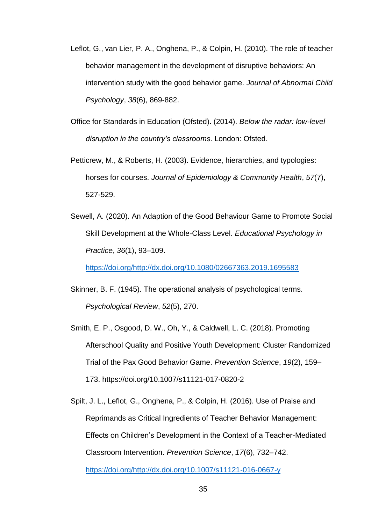- Leflot, G., van Lier, P. A., Onghena, P., & Colpin, H. (2010). The role of teacher behavior management in the development of disruptive behaviors: An intervention study with the good behavior game. *Journal of Abnormal Child Psychology*, *38*(6), 869-882.
- Office for Standards in Education (Ofsted). (2014). *Below the radar: low-level disruption in the country's classrooms*. London: Ofsted.
- Petticrew, M., & Roberts, H. (2003). Evidence, hierarchies, and typologies: horses for courses. *Journal of Epidemiology & Community Health*, *57*(7), 527-529.
- Sewell, A. (2020). An Adaption of the Good Behaviour Game to Promote Social Skill Development at the Whole-Class Level. *Educational Psychology in Practice*, *36*(1), 93–109.

[https://doi.org/http://dx.doi.org/10.1080/02667363.2019.1695583](https://doi.org/http:/dx.doi.org/10.1080/02667363.2019.1695583)

- Skinner, B. F. (1945). The operational analysis of psychological terms. *Psychological Review*, *52*(5), 270.
- Smith, E. P., Osgood, D. W., Oh, Y., & Caldwell, L. C. (2018). Promoting Afterschool Quality and Positive Youth Development: Cluster Randomized Trial of the Pax Good Behavior Game. *Prevention Science*, *19*(2), 159– 173. https://doi.org/10.1007/s11121-017-0820-2
- Spilt, J. L., Leflot, G., Onghena, P., & Colpin, H. (2016). Use of Praise and Reprimands as Critical Ingredients of Teacher Behavior Management: Effects on Children's Development in the Context of a Teacher-Mediated Classroom Intervention. *Prevention Science*, *17*(6), 732–742. [https://doi.org/http://dx.doi.org/10.1007/s11121-016-0667-y](https://doi.org/http:/dx.doi.org/10.1007/s11121-016-0667-y)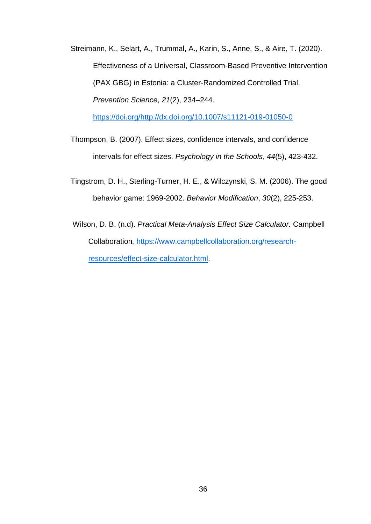Streimann, K., Selart, A., Trummal, A., Karin, S., Anne, S., & Aire, T. (2020). Effectiveness of a Universal, Classroom-Based Preventive Intervention (PAX GBG) in Estonia: a Cluster-Randomized Controlled Trial. *Prevention Science*, *21*(2), 234–244.

[https://doi.org/http://dx.doi.org/10.1007/s11121-019-01050-0](https://doi.org/http:/dx.doi.org/10.1007/s11121-019-01050-0)

- Thompson, B. (2007). Effect sizes, confidence intervals, and confidence intervals for effect sizes. *Psychology in the Schools*, *44*(5), 423-432.
- Tingstrom, D. H., Sterling-Turner, H. E., & Wilczynski, S. M. (2006). The good behavior game: 1969-2002. *Behavior Modification*, *30*(2), 225-253.
- Wilson, D. B. (n.d). *Practical Meta-Analysis Effect Size Calculator.* Campbell Collaboration*.* [https://www.campbellcollaboration.org/research](https://www.campbellcollaboration.org/research-resources/effect-size-calculator.html)[resources/effect-size-calculator.html.](https://www.campbellcollaboration.org/research-resources/effect-size-calculator.html)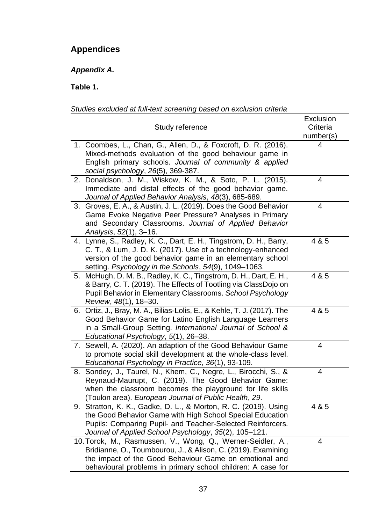# **Appendices**

*Appendix A.*

**Table 1.**

|    | Study reference                                                                                                                                                                                                                                         | Exclusion<br>Criteria<br>number(s) |
|----|---------------------------------------------------------------------------------------------------------------------------------------------------------------------------------------------------------------------------------------------------------|------------------------------------|
|    | 1. Coombes, L., Chan, G., Allen, D., & Foxcroft, D. R. (2016).<br>Mixed-methods evaluation of the good behaviour game in<br>English primary schools. Journal of community & applied<br>social psychology, 26(5), 369-387.                               | 4                                  |
|    | 2. Donaldson, J. M., Wiskow, K. M., & Soto, P. L. (2015).<br>Immediate and distal effects of the good behavior game.<br>Journal of Applied Behavior Analysis, 48(3), 685-689.                                                                           | 4                                  |
|    | 3. Groves, E. A., & Austin, J. L. (2019). Does the Good Behavior<br>Game Evoke Negative Peer Pressure? Analyses in Primary<br>and Secondary Classrooms. Journal of Applied Behavior<br>Analysis, 52(1), 3-16.                                           | 4                                  |
|    | 4. Lynne, S., Radley, K. C., Dart, E. H., Tingstrom, D. H., Barry,<br>C. T., & Lum, J. D. K. (2017). Use of a technology-enhanced<br>version of the good behavior game in an elementary school<br>setting. Psychology in the Schools, 54(9), 1049-1063. | 4 & 5                              |
| 5. | McHugh, D. M. B., Radley, K. C., Tingstrom, D. H., Dart, E. H.,<br>& Barry, C. T. (2019). The Effects of Tootling via ClassDojo on<br>Pupil Behavior in Elementary Classrooms. School Psychology<br>Review, 48(1), 18-30.                               | 4 & 5                              |
|    | 6. Ortiz, J., Bray, M. A., Bilias-Lolis, E., & Kehle, T. J. (2017). The<br>Good Behavior Game for Latino English Language Learners<br>in a Small-Group Setting. International Journal of School &<br>Educational Psychology, 5(1), 26–38.               | 4 & 5                              |
|    | 7. Sewell, A. (2020). An adaption of the Good Behaviour Game<br>to promote social skill development at the whole-class level.<br>Educational Psychology in Practice, 36(1), 93-109.                                                                     | 4                                  |
|    | 8. Sondey, J., Taurel, N., Khem, C., Negre, L., Birocchi, S., &<br>Reynaud-Maurupt, C. (2019). The Good Behavior Game:<br>when the classroom becomes the playground for life skills<br>Toulon area). European Journal of Public Health, 29.             | 4                                  |
|    | 9. Stratton, K. K., Gadke, D. L., & Morton, R. C. (2019). Using<br>the Good Behavior Game with High School Special Education<br>Pupils: Comparing Pupil- and Teacher-Selected Reinforcers.<br>Journal of Applied School Psychology, 35(2), 105-121.     | 4 & 5                              |
|    | 10. Torok, M., Rasmussen, V., Wong, Q., Werner-Seidler, A.,<br>Bridianne, O., Toumbourou, J., & Alison, C. (2019). Examining<br>the impact of the Good Behaviour Game on emotional and<br>behavioural problems in primary school children: A case for   | 4                                  |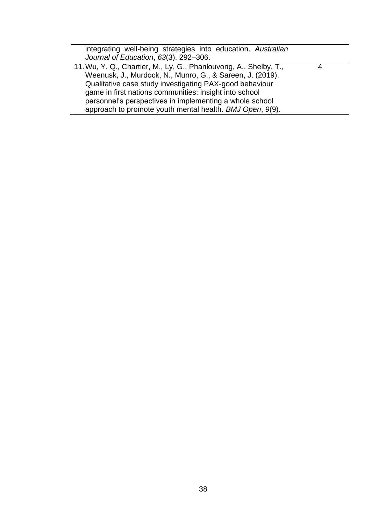| integrating well-being strategies into education. Australian      |  |
|-------------------------------------------------------------------|--|
| Journal of Education, 63(3), 292-306.                             |  |
| 11. Wu, Y. Q., Chartier, M., Ly, G., Phanlouvong, A., Shelby, T., |  |
| Weenusk, J., Murdock, N., Munro, G., & Sareen, J. (2019).         |  |
| Qualitative case study investigating PAX-good behaviour           |  |
| game in first nations communities: insight into school            |  |
| personnel's perspectives in implementing a whole school           |  |
| approach to promote youth mental health. BMJ Open, 9(9).          |  |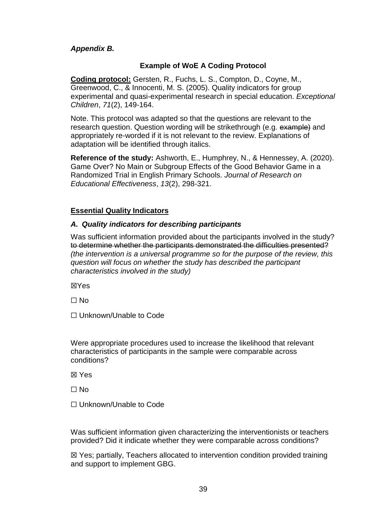# *Appendix B.*

# **Example of WoE A Coding Protocol**

**Coding protocol:** Gersten, R., Fuchs, L. S., Compton, D., Coyne, M., Greenwood, C., & Innocenti, M. S. (2005). Quality indicators for group experimental and quasi-experimental research in special education. *Exceptional Children*, *71*(2), 149-164.

Note. This protocol was adapted so that the questions are relevant to the research question. Question wording will be strikethrough (e.g. example) and appropriately re-worded if it is not relevant to the review. Explanations of adaptation will be identified through italics.

**Reference of the study:** Ashworth, E., Humphrey, N., & Hennessey, A. (2020). Game Over? No Main or Subgroup Effects of the Good Behavior Game in a Randomized Trial in English Primary Schools. *Journal of Research on Educational Effectiveness*, *13*(2), 298-321.

# **Essential Quality Indicators**

### *A. Quality indicators for describing participants*

Was sufficient information provided about the participants involved in the study? to determine whether the participants demonstrated the difficulties presented? *(the intervention is a universal programme so for the purpose of the review, this question will focus on whether the study has described the participant characteristics involved in the study)*

☒Yes

☐ No

☐ Unknown/Unable to Code

Were appropriate procedures used to increase the likelihood that relevant characteristics of participants in the sample were comparable across conditions?

☒ Yes

 $\Box$  No

☐ Unknown/Unable to Code

Was sufficient information given characterizing the interventionists or teachers provided? Did it indicate whether they were comparable across conditions?

☒ Yes; partially, Teachers allocated to intervention condition provided training and support to implement GBG.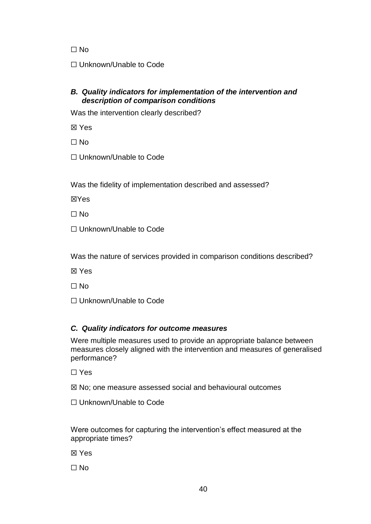☐ No

☐ Unknown/Unable to Code

# *B. Quality indicators for implementation of the intervention and description of comparison conditions*

Was the intervention clearly described?

☒ Yes

☐ No

☐ Unknown/Unable to Code

Was the fidelity of implementation described and assessed?

☒Yes

☐ No

☐ Unknown/Unable to Code

Was the nature of services provided in comparison conditions described?

☒ Yes

☐ No

☐ Unknown/Unable to Code

# *C. Quality indicators for outcome measures*

Were multiple measures used to provide an appropriate balance between measures closely aligned with the intervention and measures of generalised performance?

☐ Yes

☒ No; one measure assessed social and behavioural outcomes

☐ Unknown/Unable to Code

Were outcomes for capturing the intervention's effect measured at the appropriate times?

☒ Yes

☐ No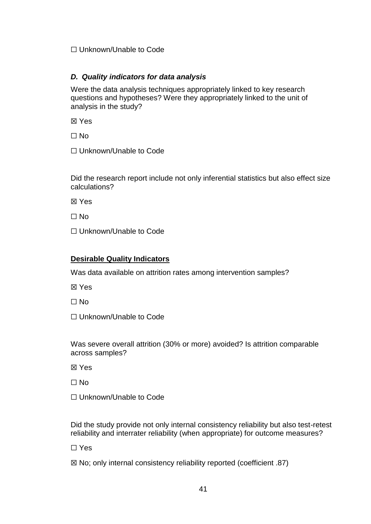## ☐ Unknown/Unable to Code

# *D. Quality indicators for data analysis*

Were the data analysis techniques appropriately linked to key research questions and hypotheses? Were they appropriately linked to the unit of analysis in the study?

☒ Yes

☐ No

☐ Unknown/Unable to Code

Did the research report include not only inferential statistics but also effect size calculations?

☒ Yes

 $\Box$  No

□ Unknown/Unable to Code

# **Desirable Quality Indicators**

Was data available on attrition rates among intervention samples?

☒ Yes

 $\Box$  No

☐ Unknown/Unable to Code

Was severe overall attrition (30% or more) avoided? Is attrition comparable across samples?

☒ Yes

 $\Box$  No

☐ Unknown/Unable to Code

Did the study provide not only internal consistency reliability but also test-retest reliability and interrater reliability (when appropriate) for outcome measures?

☐ Yes

 $\boxtimes$  No; only internal consistency reliability reported (coefficient .87)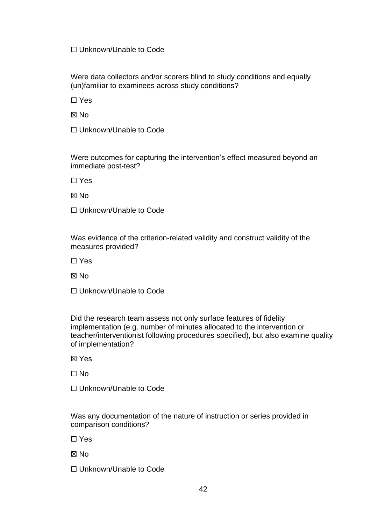### ☐ Unknown/Unable to Code

Were data collectors and/or scorers blind to study conditions and equally (un)familiar to examinees across study conditions?

☐ Yes

☒ No

☐ Unknown/Unable to Code

Were outcomes for capturing the intervention's effect measured beyond an immediate post-test?

☐ Yes

☒ No

☐ Unknown/Unable to Code

Was evidence of the criterion-related validity and construct validity of the measures provided?

☐ Yes

☒ No

☐ Unknown/Unable to Code

Did the research team assess not only surface features of fidelity implementation (e.g. number of minutes allocated to the intervention or teacher/interventionist following procedures specified), but also examine quality of implementation?

☒ Yes

☐ No

☐ Unknown/Unable to Code

Was any documentation of the nature of instruction or series provided in comparison conditions?

☐ Yes

☒ No

☐ Unknown/Unable to Code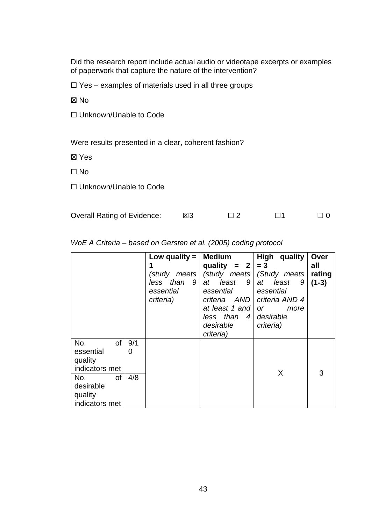Did the research report include actual audio or videotape excerpts or examples of paperwork that capture the nature of the intervention?

 $\Box$  Yes – examples of materials used in all three groups

☒ No

☐ Unknown/Unable to Code

Were results presented in a clear, coherent fashion?

☒ Yes

 $\Box$  No

☐ Unknown/Unable to Code

| <b>Overall Rating of Evidence:</b> | ⊠3 |  |  |  |
|------------------------------------|----|--|--|--|
|------------------------------------|----|--|--|--|

|                                                     |          | Low quality $=$<br>(study meets  <br>less than<br>- 9  <br>essential<br>criteria) | Medium<br>quality = $2 \mid = 3$<br>at least<br>9<br>essential<br>criteria AND<br>at least 1 and<br>less than<br>$\overline{4}$<br>desirable<br>criteria) | High<br>quality<br>(study meets   (Study meets<br>least<br>at<br>9<br>essential<br>criteria AND 4<br><b>or</b><br>more<br>desirable<br>criteria) | Over<br>all<br>rating<br>$(1-3)$ |
|-----------------------------------------------------|----------|-----------------------------------------------------------------------------------|-----------------------------------------------------------------------------------------------------------------------------------------------------------|--------------------------------------------------------------------------------------------------------------------------------------------------|----------------------------------|
| of<br>No.<br>essential<br>quality<br>indicators met | 9/1<br>0 |                                                                                   |                                                                                                                                                           |                                                                                                                                                  |                                  |
| of<br>No.<br>desirable<br>quality<br>indicators met | 4/8      |                                                                                   |                                                                                                                                                           | X                                                                                                                                                | 3                                |

*WoE A Criteria – based on Gersten et al. (2005) coding protocol*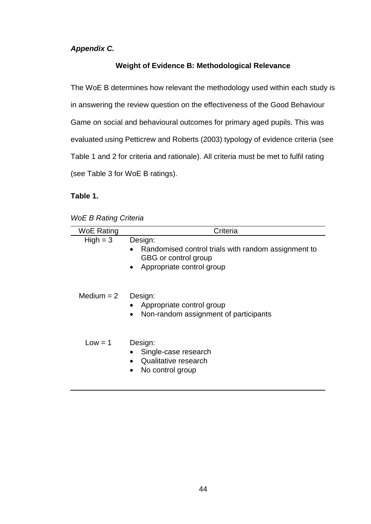# *Appendix C.*

# **Weight of Evidence B: Methodological Relevance**

The WoE B determines how relevant the methodology used within each study is in answering the review question on the effectiveness of the Good Behaviour Game on social and behavioural outcomes for primary aged pupils. This was evaluated using Petticrew and Roberts (2003) typology of evidence criteria (see Table 1 and 2 for criteria and rationale). All criteria must be met to fulfil rating (see Table 3 for WoE B ratings).

# **Table 1.**

|  |  | <b>WoE B Rating Criteria</b> |
|--|--|------------------------------|
|--|--|------------------------------|

| <b>WoE Rating</b> | Criteria                                                                                                                         |
|-------------------|----------------------------------------------------------------------------------------------------------------------------------|
| $High = 3$        | Design:<br>Randomised control trials with random assignment to<br>GBG or control group<br>Appropriate control group<br>$\bullet$ |
| Medium $= 2$      | Design:<br>Appropriate control group<br>Non-random assignment of participants<br>$\bullet$                                       |
| $Low = 1$         | Design:<br>Single-case research<br>Qualitative research<br>No control group<br>$\bullet$                                         |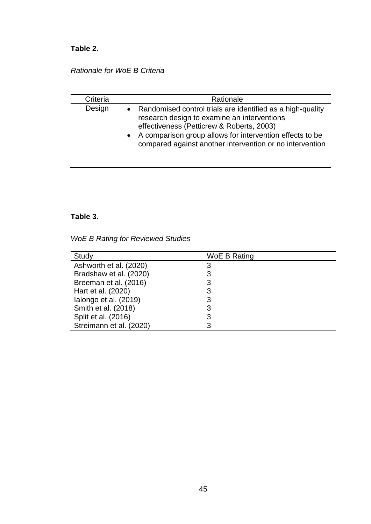# **Table 2.**

# *Rationale for WoE B Criteria*

| Criteria | Rationale                                                                                                                                                                                                                                                                          |
|----------|------------------------------------------------------------------------------------------------------------------------------------------------------------------------------------------------------------------------------------------------------------------------------------|
| Design   | • Randomised control trials are identified as a high-quality<br>research design to examine an interventions<br>effectiveness (Petticrew & Roberts, 2003)<br>• A comparison group allows for intervention effects to be<br>compared against another intervention or no intervention |

# **Table 3.**

*WoE B Rating for Reviewed Studies*

| Study                   | WoE B Rating |
|-------------------------|--------------|
| Ashworth et al. (2020)  |              |
| Bradshaw et al. (2020)  |              |
| Breeman et al. (2016)   |              |
| Hart et al. (2020)      |              |
| lalongo et al. (2019)   |              |
| Smith et al. (2018)     |              |
| Split et al. (2016)     |              |
| Streimann et al. (2020) |              |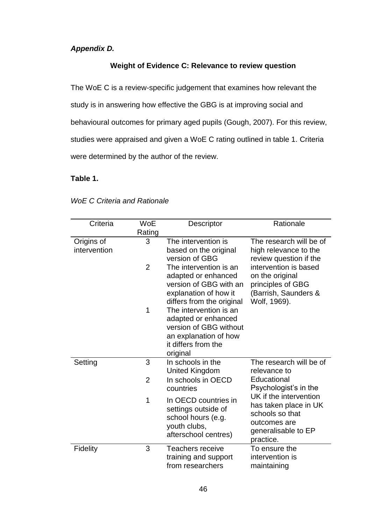# *Appendix D.*

# **Weight of Evidence C: Relevance to review question**

The WoE C is a review-specific judgement that examines how relevant the study is in answering how effective the GBG is at improving social and behavioural outcomes for primary aged pupils (Gough, 2007). For this review, studies were appraised and given a WoE C rating outlined in table 1. Criteria were determined by the author of the review.

# **Table 1.**

| Criteria     | <b>WoE</b>     | Descriptor                                    | Rationale                                       |
|--------------|----------------|-----------------------------------------------|-------------------------------------------------|
|              | Rating         |                                               |                                                 |
| Origins of   | 3              | The intervention is                           | The research will be of                         |
| intervention |                | based on the original<br>version of GBG       | high relevance to the                           |
|              | $\overline{2}$ | The intervention is an                        | review question if the<br>intervention is based |
|              |                | adapted or enhanced                           | on the original                                 |
|              |                | version of GBG with an                        | principles of GBG                               |
|              |                | explanation of how it                         | (Barrish, Saunders &                            |
|              |                | differs from the original                     | Wolf, 1969).                                    |
|              | 1              | The intervention is an                        |                                                 |
|              |                | adapted or enhanced<br>version of GBG without |                                                 |
|              |                | an explanation of how                         |                                                 |
|              |                | it differs from the                           |                                                 |
|              |                | original                                      |                                                 |
| Setting      | 3              | In schools in the                             | The research will be of                         |
|              |                | <b>United Kingdom</b>                         | relevance to                                    |
|              | $\overline{2}$ | In schools in OECD                            | Educational                                     |
|              |                | countries                                     | Psychologist's in the<br>UK if the intervention |
|              | 1              | In OECD countries in                          | has taken place in UK                           |
|              |                | settings outside of                           | schools so that                                 |
|              |                | school hours (e.g.<br>youth clubs,            | outcomes are                                    |
|              |                | afterschool centres)                          | generalisable to EP                             |
|              |                |                                               | practice.                                       |
| Fidelity     | 3              | <b>Teachers receive</b>                       | To ensure the<br>intervention is                |
|              |                | training and support<br>from researchers      | maintaining                                     |
|              |                |                                               |                                                 |

### *WoE C Criteria and Rationale*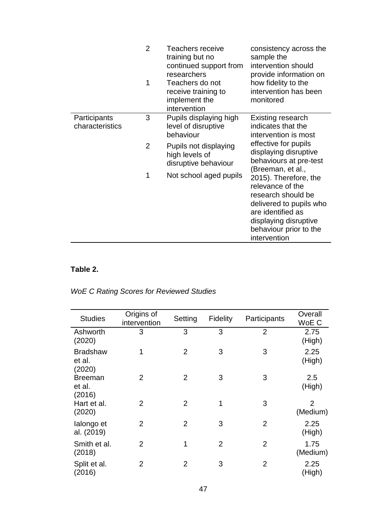|                                 | $\overline{2}$ | Teachers receive<br>training but no<br>continued support from<br>researchers | consistency across the<br>sample the<br>intervention should<br>provide information on                                                                                              |
|---------------------------------|----------------|------------------------------------------------------------------------------|------------------------------------------------------------------------------------------------------------------------------------------------------------------------------------|
|                                 | 1              | Teachers do not<br>receive training to<br>implement the<br>intervention      | how fidelity to the<br>intervention has been<br>monitored                                                                                                                          |
| Participants<br>characteristics | 3              | Pupils displaying high<br>level of disruptive<br>behaviour                   | Existing research<br>indicates that the<br>intervention is most                                                                                                                    |
|                                 | $\overline{2}$ | Pupils not displaying<br>high levels of<br>disruptive behaviour              | effective for pupils<br>displaying disruptive<br>behaviours at pre-test<br>(Breeman, et al.,                                                                                       |
|                                 | 1              | Not school aged pupils                                                       | 2015). Therefore, the<br>relevance of the<br>research should be<br>delivered to pupils who<br>are identified as<br>displaying disruptive<br>behaviour prior to the<br>intervention |

# **Table 2.**

| <b>WoE C Rating Scores for Reviewed Studies</b> |  |  |  |
|-------------------------------------------------|--|--|--|
|-------------------------------------------------|--|--|--|

| <b>Studies</b>                      | Origins of<br>intervention | Setting        | Fidelity       | Participants   | Overall<br>WoE C           |
|-------------------------------------|----------------------------|----------------|----------------|----------------|----------------------------|
| Ashworth<br>(2020)                  | 3                          | 3              | 3              | $\overline{2}$ | 2.75<br>(High)             |
| <b>Bradshaw</b><br>et al.<br>(2020) | 1                          | $\overline{2}$ | 3              | 3              | 2.25<br>(High)             |
| <b>Breeman</b><br>et al.<br>(2016)  | 2                          | $\overline{2}$ | 3              | 3              | 2.5<br>(High)              |
| Hart et al.<br>(2020)               | $\overline{2}$             | $\overline{2}$ | 1              | 3              | $\overline{2}$<br>(Medium) |
| lalongo et<br>al. (2019)            | $\overline{2}$             | $\overline{2}$ | 3              | $\overline{2}$ | 2.25<br>(High)             |
| Smith et al.<br>(2018)              | $\overline{2}$             | 1              | $\overline{2}$ | $\overline{2}$ | 1.75<br>(Medium)           |
| Split et al.<br>(2016)              | 2                          | $\overline{2}$ | 3              | $\overline{2}$ | 2.25<br>(High)             |